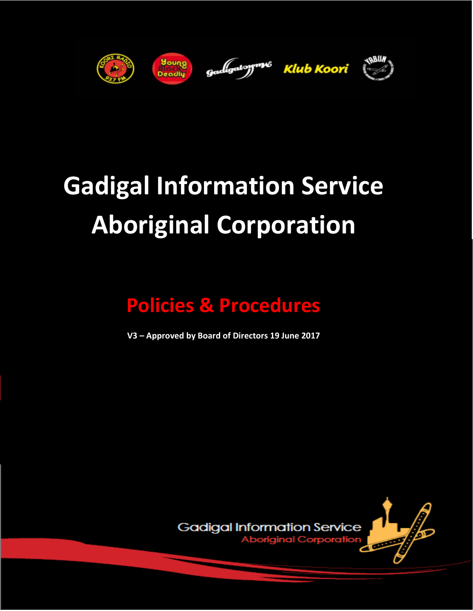



gadigalogr<sup>m</sup><sup>6</sup> Klub Koori



# **Gadigal Information Service Aboriginal Corporation**

# **Policies & Procedures**

**V3 – Approved by Board of Directors 19 June 2017**

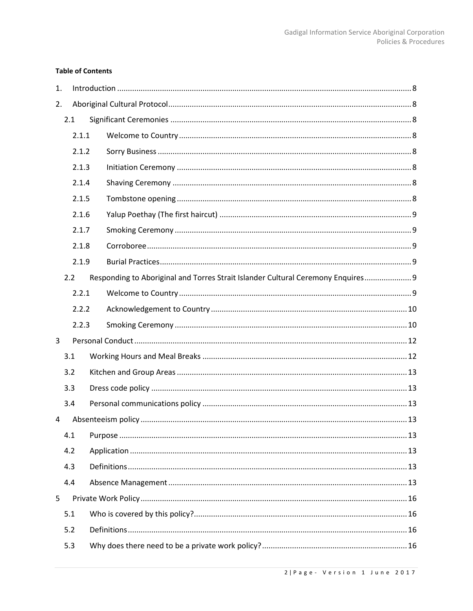# **Table of Contents**

| 1. |     |       |  |                                                                                  |
|----|-----|-------|--|----------------------------------------------------------------------------------|
| 2. |     |       |  |                                                                                  |
|    | 2.1 |       |  |                                                                                  |
|    |     | 2.1.1 |  |                                                                                  |
|    |     | 2.1.2 |  |                                                                                  |
|    |     | 2.1.3 |  |                                                                                  |
|    |     | 2.1.4 |  |                                                                                  |
|    |     | 2.1.5 |  |                                                                                  |
|    |     | 2.1.6 |  |                                                                                  |
|    |     | 2.1.7 |  |                                                                                  |
|    |     | 2.1.8 |  |                                                                                  |
|    |     | 2.1.9 |  |                                                                                  |
|    | 2.2 |       |  | Responding to Aboriginal and Torres Strait Islander Cultural Ceremony Enquires 9 |
|    |     | 2.2.1 |  |                                                                                  |
|    |     | 2.2.2 |  |                                                                                  |
|    |     | 2.2.3 |  |                                                                                  |
| 3  |     |       |  |                                                                                  |
|    | 3.1 |       |  |                                                                                  |
|    | 3.2 |       |  |                                                                                  |
|    | 3.3 |       |  |                                                                                  |
|    | 3.4 |       |  |                                                                                  |
| 4  |     |       |  |                                                                                  |
|    | 4.1 |       |  |                                                                                  |
|    | 4.2 |       |  |                                                                                  |
|    | 4.3 |       |  |                                                                                  |
|    | 4.4 |       |  |                                                                                  |
| 5  |     |       |  |                                                                                  |
|    | 5.1 |       |  |                                                                                  |
|    | 5.2 |       |  |                                                                                  |
|    | 5.3 |       |  |                                                                                  |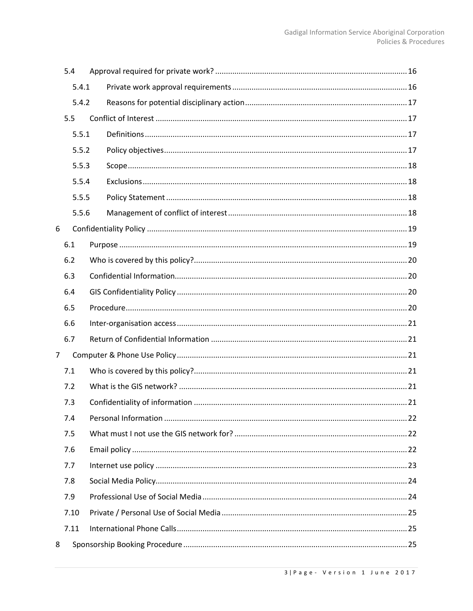|                | 5.4   |  |  |  |
|----------------|-------|--|--|--|
|                | 5.4.1 |  |  |  |
|                | 5.4.2 |  |  |  |
|                | 5.5   |  |  |  |
|                | 5.5.1 |  |  |  |
|                | 5.5.2 |  |  |  |
|                | 5.5.3 |  |  |  |
|                | 5.5.4 |  |  |  |
|                | 5.5.5 |  |  |  |
|                | 5.5.6 |  |  |  |
| 6              |       |  |  |  |
|                | 6.1   |  |  |  |
|                | 6.2   |  |  |  |
|                | 6.3   |  |  |  |
|                | 6.4   |  |  |  |
|                | 6.5   |  |  |  |
|                | 6.6   |  |  |  |
|                | 6.7   |  |  |  |
| $\overline{7}$ |       |  |  |  |
|                | 7.1   |  |  |  |
|                | 7.2   |  |  |  |
|                | 7.3   |  |  |  |
|                | 7.4   |  |  |  |
|                | 7.5   |  |  |  |
|                | 7.6   |  |  |  |
| 7.7<br>7.8     |       |  |  |  |
|                |       |  |  |  |
|                | 7.9   |  |  |  |
|                | 7.10  |  |  |  |
|                | 7.11  |  |  |  |
| 8              |       |  |  |  |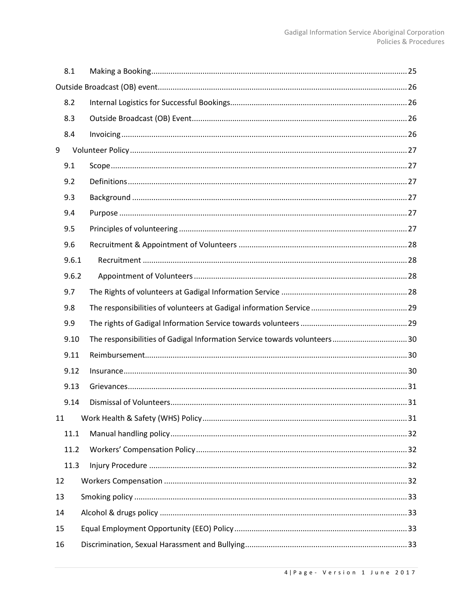|    | 8.1   |  |                                                                          |  |  |
|----|-------|--|--------------------------------------------------------------------------|--|--|
|    |       |  |                                                                          |  |  |
|    | 8.2   |  |                                                                          |  |  |
|    | 8.3   |  |                                                                          |  |  |
|    | 8.4   |  |                                                                          |  |  |
| 9  |       |  |                                                                          |  |  |
|    | 9.1   |  |                                                                          |  |  |
|    | 9.2   |  |                                                                          |  |  |
|    | 9.3   |  |                                                                          |  |  |
|    | 9.4   |  |                                                                          |  |  |
|    | 9.5   |  |                                                                          |  |  |
|    | 9.6   |  |                                                                          |  |  |
|    | 9.6.1 |  |                                                                          |  |  |
|    | 9.6.2 |  |                                                                          |  |  |
|    | 9.7   |  |                                                                          |  |  |
|    | 9.8   |  |                                                                          |  |  |
|    | 9.9   |  |                                                                          |  |  |
|    | 9.10  |  | The responsibilities of Gadigal Information Service towards volunteers30 |  |  |
|    | 9.11  |  |                                                                          |  |  |
|    | 9.12  |  |                                                                          |  |  |
|    | 9.13  |  |                                                                          |  |  |
|    | 9.14  |  |                                                                          |  |  |
| 11 |       |  |                                                                          |  |  |
|    | 11.1  |  |                                                                          |  |  |
|    | 11.2  |  |                                                                          |  |  |
|    | 11.3  |  |                                                                          |  |  |
| 12 |       |  |                                                                          |  |  |
| 13 |       |  |                                                                          |  |  |
| 14 |       |  |                                                                          |  |  |
|    | 15    |  |                                                                          |  |  |
| 16 |       |  |                                                                          |  |  |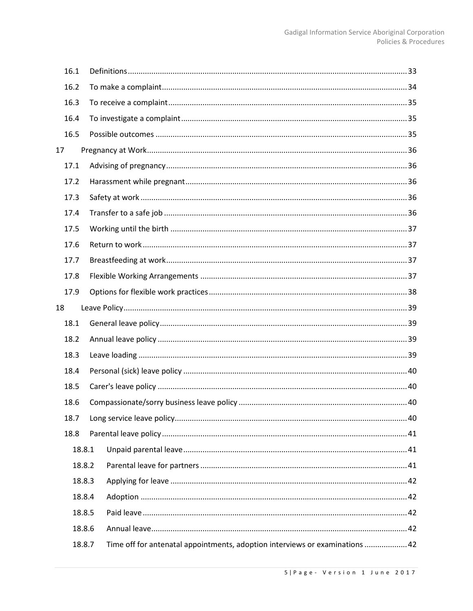| 16.1 |        |                                                                              |
|------|--------|------------------------------------------------------------------------------|
| 16.2 |        |                                                                              |
| 16.3 |        |                                                                              |
| 16.4 |        |                                                                              |
| 16.5 |        |                                                                              |
| 17   |        |                                                                              |
| 17.1 |        |                                                                              |
| 17.2 |        |                                                                              |
| 17.3 |        |                                                                              |
| 17.4 |        |                                                                              |
| 17.5 |        |                                                                              |
| 17.6 |        |                                                                              |
| 17.7 |        |                                                                              |
| 17.8 |        |                                                                              |
| 17.9 |        |                                                                              |
| 18   |        |                                                                              |
| 18.1 |        |                                                                              |
| 18.2 |        |                                                                              |
| 18.3 |        |                                                                              |
| 18.4 |        |                                                                              |
| 18.5 |        |                                                                              |
| 18.6 |        |                                                                              |
| 18.7 |        |                                                                              |
| 18.8 |        |                                                                              |
|      | 18.8.1 |                                                                              |
|      | 18.8.2 |                                                                              |
|      | 18.8.3 |                                                                              |
|      | 18.8.4 |                                                                              |
|      | 18.8.5 |                                                                              |
|      | 18.8.6 |                                                                              |
|      | 18.8.7 | Time off for antenatal appointments, adoption interviews or examinations  42 |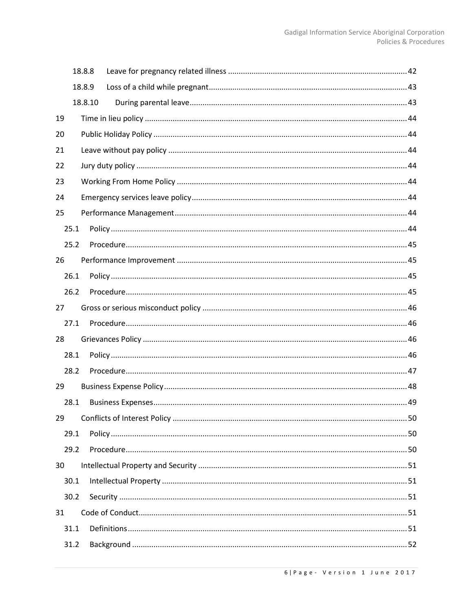|      | 18.8.8  |  |
|------|---------|--|
|      | 18.8.9  |  |
|      | 18.8.10 |  |
| 19   |         |  |
| 20   |         |  |
| 21   |         |  |
| 22   |         |  |
| 23   |         |  |
| 24   |         |  |
| 25   |         |  |
| 25.1 |         |  |
| 25.2 |         |  |
| 26   |         |  |
| 26.1 |         |  |
| 26.2 |         |  |
| 27   |         |  |
| 27.1 |         |  |
| 28   |         |  |
| 28.1 |         |  |
| 28.2 |         |  |
| 29   |         |  |
| 28.1 |         |  |
| 29   |         |  |
| 29.1 |         |  |
| 29.2 |         |  |
| 30   |         |  |
| 30.1 |         |  |
| 30.2 |         |  |
| 31   |         |  |
| 31.1 |         |  |
| 31.2 |         |  |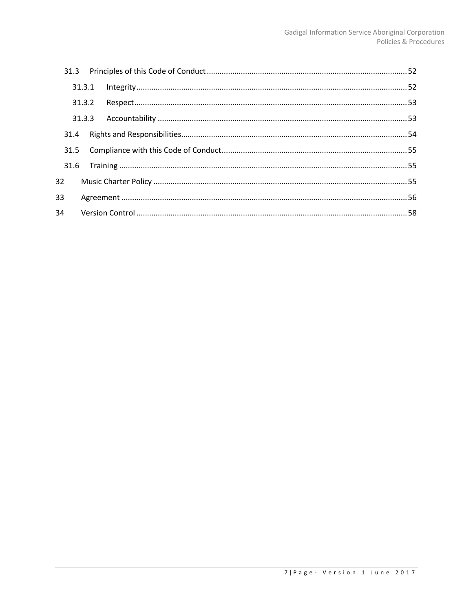|    | 31.3.1 |  |  |
|----|--------|--|--|
|    | 31.3.2 |  |  |
|    | 31.3.3 |  |  |
|    | 31.4   |  |  |
|    | 31.5   |  |  |
|    | 31.6   |  |  |
| 32 |        |  |  |
| 33 |        |  |  |
| 34 |        |  |  |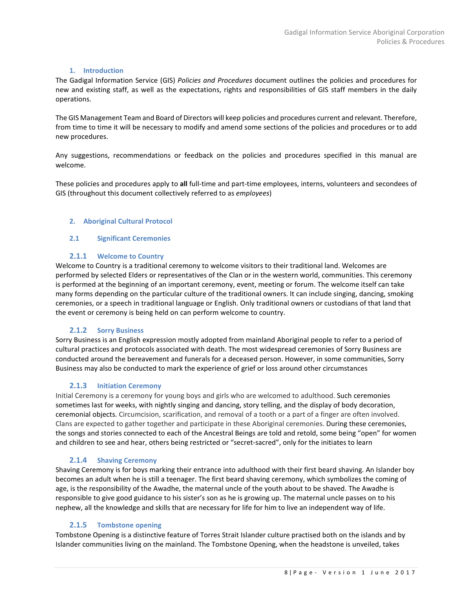# **1. Introduction**

<span id="page-7-0"></span>The Gadigal Information Service (GIS) *Policies and Procedures* document outlines the policies and procedures for new and existing staff, as well as the expectations, rights and responsibilities of GIS staff members in the daily operations.

The GIS Management Team and Board of Directors will keep policies and procedures current and relevant. Therefore, from time to time it will be necessary to modify and amend some sections of the policies and procedures or to add new procedures.

Any suggestions, recommendations or feedback on the policies and procedures specified in this manual are welcome.

<span id="page-7-1"></span>These policies and procedures apply to **all** full-time and part-time employees, interns, volunteers and secondees of GIS (throughout this document collectively referred to as *employees*)

#### <span id="page-7-2"></span>**2. Aboriginal Cultural Protocol**

#### **2.1 Significant Ceremonies**

# <span id="page-7-3"></span>**2.1.1 Welcome to Country**

Welcome to Country is a traditional ceremony to welcome visitors to their traditional land. Welcomes are performed by selected Elders or representatives of the Clan or in the western world, communities. This ceremony is performed at the beginning of an important ceremony, event, meeting or forum. The welcome itself can take many forms depending on the particular culture of the traditional owners. It can include singing, dancing, smoking ceremonies, or a speech in traditional language or English. Only traditional owners or custodians of that land that the event or ceremony is being held on can perform welcome to country.

# <span id="page-7-4"></span>**2.1.2 Sorry Business**

Sorry Business is an English expression mostly adopted from mainland Aboriginal people to refer to a period of cultural practices and protocols associated with death. The most widespread ceremonies of Sorry Business are conducted around the bereavement and funerals for a deceased person. However, in some communities, Sorry Business may also be conducted to mark the experience of grief or loss around other circumstances

# <span id="page-7-5"></span>**2.1.3 Initiation Ceremony**

Initial Ceremony is a ceremony for young boys and girls who are welcomed to adulthood. Such ceremonies sometimes last for weeks, with nightly singing and dancing, story telling, and the display of body decoration, ceremonial objects. Circumcision, scarification, and removal of a tooth or a part of a finger are often involved. Clans are expected to gather together and participate in these Aboriginal ceremonies. During these ceremonies, the songs and stories connected to each of the Ancestral Beings are told and retold, some being "open" for women and children to see and hear, others being restricted or "secret-sacred", only for the initiates to learn

# <span id="page-7-6"></span>**2.1.4 Shaving Ceremony**

Shaving Ceremony is for boys marking their entrance into adulthood with their first beard shaving. An Islander boy becomes an adult when he is still a teenager. The first beard shaving ceremony, which symbolizes the coming of age, is the responsibility of the Awadhe, the maternal uncle of the youth about to be shaved. The Awadhe is responsible to give good guidance to his sister's son as he is growing up. The maternal uncle passes on to his nephew, all the knowledge and skills that are necessary for life for him to live an independent way of life.

#### <span id="page-7-7"></span>**2.1.5 Tombstone opening**

Tombstone Opening is a distinctive feature of Torres Strait Islander culture practised both on the islands and by Islander communities living on the mainland. The Tombstone Opening, when the headstone is unveiled, takes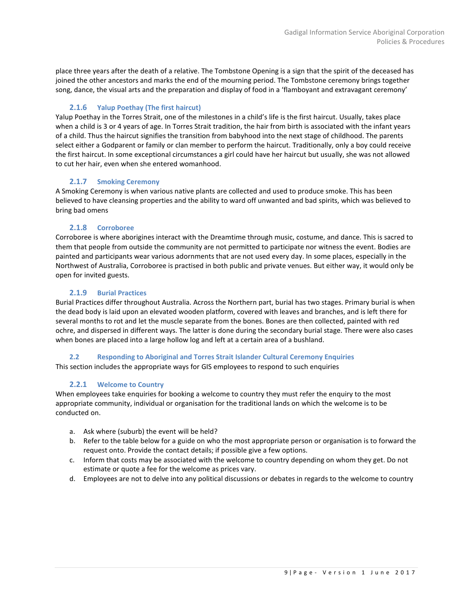place three years after the death of a relative. The Tombstone Opening is a sign that the spirit of the deceased has joined the other ancestors and marks the end of the mourning period. The Tombstone ceremony brings together song, dance, the visual arts and the preparation and display of food in a 'flamboyant and extravagant ceremony'

# <span id="page-8-0"></span>**2.1.6 Yalup Poethay (The first haircut)**

Yalup Poethay in the Torres Strait, one of the milestones in a child's life is the first haircut. Usually, takes place when a child is 3 or 4 years of age. In Torres Strait tradition, the hair from birth is associated with the infant years of a child. Thus the haircut signifies the transition from babyhood into the next stage of childhood. The parents select either a Godparent or family or clan member to perform the haircut. Traditionally, only a boy could receive the first haircut. In some exceptional circumstances a girl could have her haircut but usually, she was not allowed to cut her hair, even when she entered womanhood.

# <span id="page-8-1"></span>**2.1.7 Smoking Ceremony**

A Smoking Ceremony is when various native plants are collected and used to produce smoke. This has been believed to have cleansing properties and the ability to ward off unwanted and bad spirits, which was believed to bring bad omens

# <span id="page-8-2"></span>**2.1.8 Corroboree**

Corroboree is where aborigines interact with the Dreamtime through music, costume, and dance. This is sacred to them that people from outside the community are not permitted to participate nor witness the event. Bodies are painted and participants wear various adornments that are not used every day. In some places, especially in the Northwest of Australia, Corroboree is practised in both public and private venues. But either way, it would only be open for invited guests.

# <span id="page-8-3"></span>**2.1.9 Burial Practices**

Burial Practices differ throughout Australia. Across the Northern part, burial has two stages. Primary burial is when the dead body is laid upon an elevated wooden platform, covered with leaves and branches, and is left there for several months to rot and let the muscle separate from the bones. Bones are then collected, painted with red ochre, and dispersed in different ways. The latter is done during the secondary burial stage. There were also cases when bones are placed into a large hollow log and left at a certain area of a bushland.

# <span id="page-8-4"></span>**2.2 Responding to Aboriginal and Torres Strait Islander Cultural Ceremony Enquiries**

<span id="page-8-5"></span>This section includes the appropriate ways for GIS employees to respond to such enquiries

# **2.2.1 Welcome to Country**

When employees take enquiries for booking a welcome to country they must refer the enquiry to the most appropriate community, individual or organisation for the traditional lands on which the welcome is to be conducted on.

- a. Ask where (suburb) the event will be held?
- b. Refer to the table below for a guide on who the most appropriate person or organisation is to forward the request onto. Provide the contact details; if possible give a few options.
- c. Inform that costs may be associated with the welcome to country depending on whom they get. Do not estimate or quote a fee for the welcome as prices vary.
- d. Employees are not to delve into any political discussions or debates in regards to the welcome to country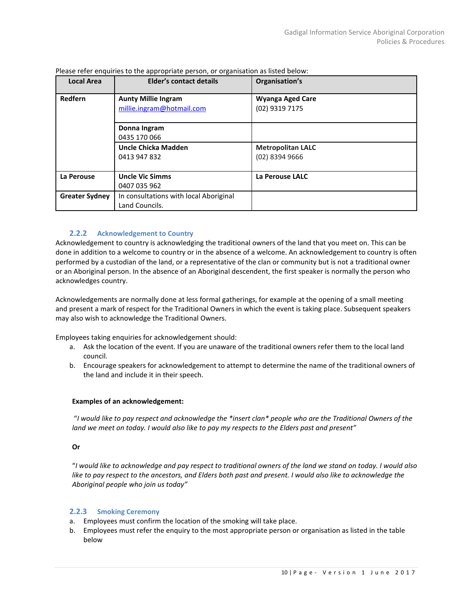| <b>Local Area</b>     | Elder's contact details                                  | Organisation's                               |
|-----------------------|----------------------------------------------------------|----------------------------------------------|
| Redfern               | <b>Aunty Millie Ingram</b><br>millie.ingram@hotmail.com  | <b>Wyanga Aged Care</b><br>(02) 9319 7175    |
|                       | Donna Ingram<br>0435 170 066                             |                                              |
|                       | Uncle Chicka Madden<br>0413 947 832                      | <b>Metropolitan LALC</b><br>$(02)$ 8394 9666 |
| La Perouse            | <b>Uncle Vic Simms</b><br>0407 035 962                   | La Perouse LALC                              |
| <b>Greater Sydney</b> | In consultations with local Aboriginal<br>Land Councils. |                                              |

Please refer enquiries to the appropriate person, or organisation as listed below:

# **2.2.2 Acknowledgement to Country**

<span id="page-9-0"></span>Acknowledgement to country is acknowledging the traditional owners of the land that you meet on. This can be done in addition to a welcome to country or in the absence of a welcome. An acknowledgement to country is often performed by a custodian of the land, or a representative of the clan or community but is not a traditional owner or an Aboriginal person. In the absence of an Aboriginal descendent, the first speaker is normally the person who acknowledges country.

Acknowledgements are normally done at less formal gatherings, for example at the opening of a small meeting and present a mark of respect for the Traditional Owners in which the event is taking place. Subsequent speakers may also wish to acknowledge the Traditional Owners.

Employees taking enquiries for acknowledgement should:

- a. Ask the location of the event. If you are unaware of the traditional owners refer them to the local land council.
- b. Encourage speakers for acknowledgement to attempt to determine the name of the traditional owners of the land and include it in their speech.

#### **Examples of an acknowledgement:**

"*I would like to pay respect and acknowledge the \*insert clan\* people who are the Traditional Owners of the land we meet on today. I would also like to pay my respects to the Elders past and present"*

#### **Or**

"*I would like to acknowledge and pay respect to traditional owners of the land we stand on today. I would also like to pay respect to the ancestors, and Elders both past and present. I would also like to acknowledge the Aboriginal people who join us today"*

# <span id="page-9-1"></span>**2.2.3 Smoking Ceremony**

- a. Employees must confirm the location of the smoking will take place.
- b. Employees must refer the enquiry to the most appropriate person or organisation as listed in the table below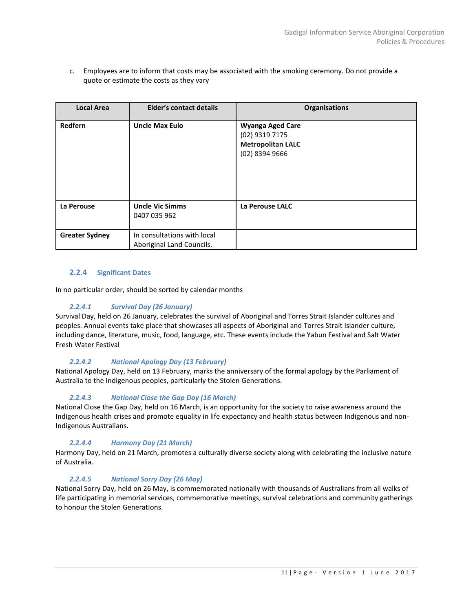c. Employees are to inform that costs may be associated with the smoking ceremony. Do not provide a quote or estimate the costs as they vary

| <b>Local Area</b>     | <b>Elder's contact details</b>                           | <b>Organisations</b>                                                                      |
|-----------------------|----------------------------------------------------------|-------------------------------------------------------------------------------------------|
| Redfern               | <b>Uncle Max Eulo</b>                                    | <b>Wyanga Aged Care</b><br>(02) 9319 7175<br><b>Metropolitan LALC</b><br>$(02)$ 8394 9666 |
| La Perouse            | <b>Uncle Vic Simms</b><br>0407 035 962                   | La Perouse LALC                                                                           |
| <b>Greater Sydney</b> | In consultations with local<br>Aboriginal Land Councils. |                                                                                           |

# **2.2.4 Significant Dates**

In no particular order, should be sorted by calendar months

# *2.2.4.1 Survival Day (26 January)*

Survival Day, held on 26 January, celebrates the survival of Aboriginal and Torres Strait Islander cultures and peoples. Annual events take place that showcases all aspects of Aboriginal and Torres Strait Islander culture, including dance, literature, music, food, language, etc. These events include the Yabun Festival and Salt Water Fresh Water Festival

# *2.2.4.2 National Apology Day (13 February)*

National Apology Day, held on 13 February, marks the anniversary of the formal apology by the Parliament of Australia to the Indigenous peoples, particularly the Stolen Generations.

# *2.2.4.3 National Close the Gap Day (16 March)*

National Close the Gap Day, held on 16 March, is an opportunity for the society to raise awareness around the Indigenous health crises and promote equality in life expectancy and health status between Indigenous and non-Indigenous Australians.

# *2.2.4.4 Harmony Day (21 March)*

Harmony Day, held on 21 March, promotes a culturally diverse society along with celebrating the inclusive nature of Australia.

# *2.2.4.5 National Sorry Day (26 May)*

National Sorry Day, held on 26 May, is commemorated nationally with thousands of Australians from all walks of life participating in memorial services, commemorative meetings, survival celebrations and community gatherings to honour the Stolen Generations.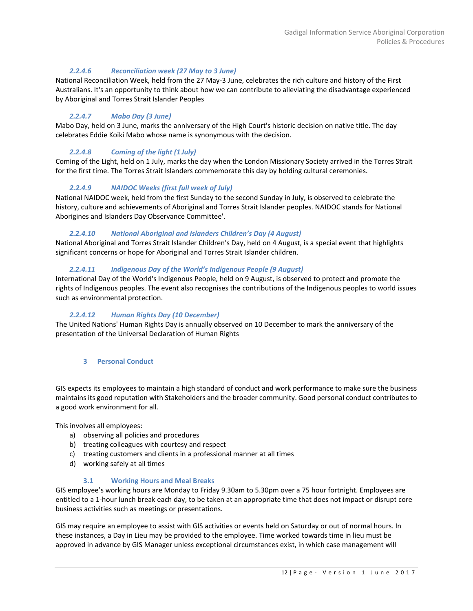# *2.2.4.6 Reconciliation week (27 May to 3 June)*

National Reconciliation Week, held from the 27 May-3 June, celebrates the rich culture and history of the First Australians. It's an opportunity to think about how we can contribute to alleviating the disadvantage experienced by Aboriginal and Torres Strait Islander Peoples

# *2.2.4.7 Mabo Day (3 June)*

Mabo Day, held on 3 June, marks the anniversary of the High Court's historic decision on native title. The day celebrates Eddie Koiki Mabo whose name is synonymous with the decision.

# *2.2.4.8 Coming of the light (1 July)*

Coming of the Light, held on 1 July, marks the day when the London Missionary Society arrived in the Torres Strait for the first time. The Torres Strait Islanders commemorate this day by holding cultural ceremonies.

# *2.2.4.9 NAIDOC Weeks (first full week of July)*

National NAIDOC week, held from the first Sunday to the second Sunday in July, is observed to celebrate the history, culture and achievements of Aboriginal and Torres Strait Islander peoples. NAIDOC stands for National Aborigines and Islanders Day Observance Committee'.

# *2.2.4.10 National Aboriginal and Islanders Children's Day (4 August)*

National Aboriginal and Torres Strait Islander Children's Day, held on 4 August, is a special event that highlights significant concerns or hope for Aboriginal and Torres Strait Islander children.

# *2.2.4.11 Indigenous Day of the World's Indigenous People (9 August)*

International Day of the World's Indigenous People, held on 9 August, is observed to protect and promote the rights of Indigenous peoples. The event also recognises the contributions of the Indigenous peoples to world issues such as environmental protection.

# *2.2.4.12 Human Rights Day (10 December)*

<span id="page-11-0"></span>The United Nations' Human Rights Day is annually observed on 10 December to mark the anniversary of the presentation of the Universal Declaration of Human Rights

# **3 Personal Conduct**

GIS expects its employees to maintain a high standard of conduct and work performance to make sure the business maintains its good reputation with Stakeholders and the broader community. Good personal conduct contributes to a good work environment for all.

This involves all employees:

- a) observing all policies and procedures
- b) treating colleagues with courtesy and respect
- c) treating customers and clients in a professional manner at all times
- d) working safely at all times

#### **3.1 Working Hours and Meal Breaks**

<span id="page-11-1"></span>GIS employee's working hours are Monday to Friday 9.30am to 5.30pm over a 75 hour fortnight. Employees are entitled to a 1-hour lunch break each day, to be taken at an appropriate time that does not impact or disrupt core business activities such as meetings or presentations.

GIS may require an employee to assist with GIS activities or events held on Saturday or out of normal hours. In these instances, a Day in Lieu may be provided to the employee. Time worked towards time in lieu must be approved in advance by GIS Manager unless exceptional circumstances exist, in which case management will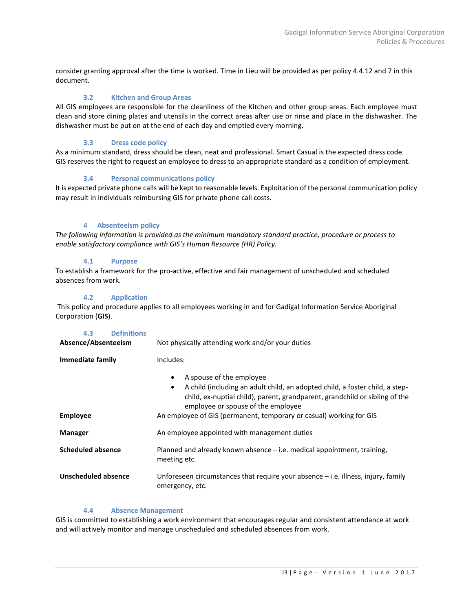consider granting approval after the time is worked. Time in Lieu will be provided as per policy 4.4.12 and 7 in this document.

# **3.2 Kitchen and Group Areas**

<span id="page-12-0"></span>All GIS employees are responsible for the cleanliness of the Kitchen and other group areas. Each employee must clean and store dining plates and utensils in the correct areas after use or rinse and place in the dishwasher. The dishwasher must be put on at the end of each day and emptied every morning.

# **3.3 Dress code policy**

<span id="page-12-2"></span><span id="page-12-1"></span>As a minimum standard, dress should be clean, neat and professional. Smart Casual is the expected dress code. GIS reserves the right to request an employee to dress to an appropriate standard as a condition of employment.

# **3.4 Personal communications policy**

<span id="page-12-3"></span>It is expected private phone calls will be kept to reasonable levels. Exploitation of the personal communication policy may result in individuals reimbursing GIS for private phone call costs.

# **4 Absenteeism policy**

*The following information is provided as the minimum mandatory standard practice, procedure or process to enable satisfactory compliance with GIS's Human Resource (HR) Policy.*

# **4.1 Purpose**

<span id="page-12-4"></span>To establish a framework for the pro-active, effective and fair management of unscheduled and scheduled absences from work.

# **4.2 Application**

<span id="page-12-5"></span>This policy and procedure applies to all employees working in and for Gadigal Information Service Aboriginal Corporation (**GIS**).

<span id="page-12-6"></span>

| 4.3<br><b>Definitions</b><br>Absence/Absenteeism | Not physically attending work and/or your duties                                                                                                                                                                                                                                                               |
|--------------------------------------------------|----------------------------------------------------------------------------------------------------------------------------------------------------------------------------------------------------------------------------------------------------------------------------------------------------------------|
| Immediate family                                 | Includes:                                                                                                                                                                                                                                                                                                      |
| <b>Employee</b>                                  | A spouse of the employee<br>٠<br>A child (including an adult child, an adopted child, a foster child, a step-<br>٠<br>child, ex-nuptial child), parent, grandparent, grandchild or sibling of the<br>employee or spouse of the employee<br>An employee of GIS (permanent, temporary or casual) working for GIS |
| Manager                                          | An employee appointed with management duties                                                                                                                                                                                                                                                                   |
| <b>Scheduled absence</b>                         | Planned and already known absence $-$ i.e. medical appointment, training,<br>meeting etc.                                                                                                                                                                                                                      |
| Unscheduled absence                              | Unforeseen circumstances that require your absence $-$ i.e. illness, injury, family<br>emergency, etc.                                                                                                                                                                                                         |

# **4.4 Absence Management**

<span id="page-12-7"></span>GIS is committed to establishing a work environment that encourages regular and consistent attendance at work and will actively monitor and manage unscheduled and scheduled absences from work.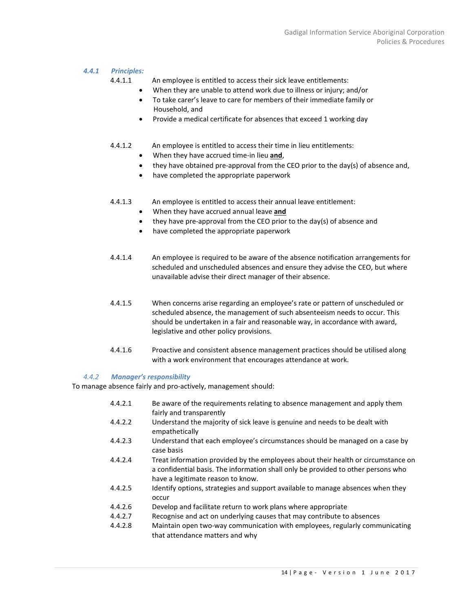#### *4.4.1 Principles:*

4.4.1.1 An employee is entitled to access their sick leave entitlements:

- When they are unable to attend work due to illness or injury; and/or
- To take carer's leave to care for members of their immediate family or Household, and
- Provide a medical certificate for absences that exceed 1 working day
- 4.4.1.2 An employee is entitled to access their time in lieu entitlements:
	- When they have accrued time-in lieu **and**,
	- they have obtained pre-approval from the CEO prior to the day(s) of absence and,
	- have completed the appropriate paperwork
- 4.4.1.3 An employee is entitled to access their annual leave entitlement:
	- When they have accrued annual leave **and**
	- they have pre-approval from the CEO prior to the day(s) of absence and
	- have completed the appropriate paperwork
- 4.4.1.4 An employee is required to be aware of the absence notification arrangements for scheduled and unscheduled absences and ensure they advise the CEO, but where unavailable advise their direct manager of their absence.
- 4.4.1.5 When concerns arise regarding an employee's rate or pattern of unscheduled or scheduled absence, the management of such absenteeism needs to occur. This should be undertaken in a fair and reasonable way, in accordance with award, legislative and other policy provisions.
- 4.4.1.6 Proactive and consistent absence management practices should be utilised along with a work environment that encourages attendance at work.

#### *4.4.2 Manager's responsibility*

To manage absence fairly and pro-actively, management should:

that attendance matters and why

4.4.2.1 Be aware of the requirements relating to absence management and apply them fairly and transparently 4.4.2.2 Understand the majority of sick leave is genuine and needs to be dealt with empathetically 4.4.2.3 Understand that each employee's circumstances should be managed on a case by case basis 4.4.2.4 Treat information provided by the employees about their health or circumstance on a confidential basis. The information shall only be provided to other persons who have a legitimate reason to know. 4.4.2.5 Identify options, strategies and support available to manage absences when they occur 4.4.2.6 Develop and facilitate return to work plans where appropriate 4.4.2.7 Recognise and act on underlying causes that may contribute to absences 4.4.2.8 Maintain open two-way communication with employees, regularly communicating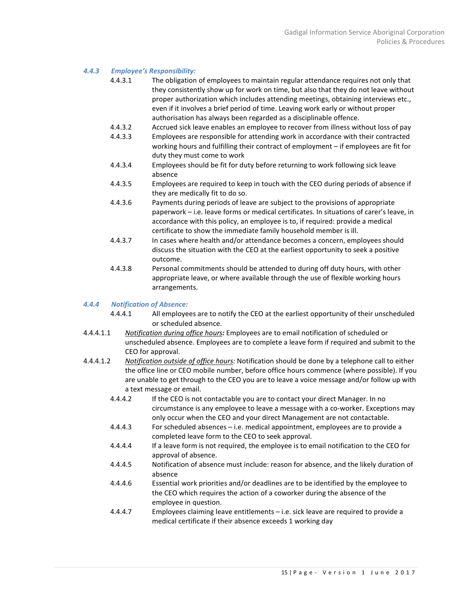#### *4.4.3 Employee's Responsibility:*

- 4.4.3.1 The obligation of employees to maintain regular attendance requires not only that they consistently show up for work on time, but also that they do not leave without proper authorization which includes attending meetings, obtaining interviews etc., even if it involves a brief period of time. Leaving work early or without proper authorisation has always been regarded as a disciplinable offence.
- 4.4.3.2 Accrued sick leave enables an employee to recover from illness without loss of pay
- 4.4.3.3 Employees are responsible for attending work in accordance with their contracted working hours and fulfilling their contract of employment – if employees are fit for duty they must come to work
- 4.4.3.4 Employees should be fit for duty before returning to work following sick leave absence
- 4.4.3.5 Employees are required to keep in touch with the CEO during periods of absence if they are medically fit to do so.
- 4.4.3.6 Payments during periods of leave are subject to the provisions of appropriate paperwork – i.e. leave forms or medical certificates. In situations of carer's leave, in accordance with this policy, an employee is to, if required: provide a medical certificate to show the immediate family household member is ill.
- 4.4.3.7 In cases where health and/or attendance becomes a concern, employees should discuss the situation with the CEO at the earliest opportunity to seek a positive outcome.
- 4.4.3.8 Personal commitments should be attended to during off duty hours, with other appropriate leave, or where available through the use of flexible working hours arrangements.

# *4.4.4 Notification of Absence:*

- 4.4.4.1 All employees are to notify the CEO at the earliest opportunity of their unscheduled or scheduled absence.
- 4.4.4.1.1 *Notification during office hours:* Employees are to email notification of scheduled or unscheduled absence. Employees are to complete a leave form if required and submit to the CEO for approval.
- 4.4.4.1.2 *Notification outside of office hours:* Notification should be done by a telephone call to either the office line or CEO mobile number, before office hours commence (where possible). If you are unable to get through to the CEO you are to leave a voice message and/or follow up with a text message or email.
	- 4.4.4.2 If the CEO is not contactable you are to contact your direct Manager. In no circumstance is any employee to leave a message with a co-worker. Exceptions may only occur when the CEO and your direct Management are not contactable.
	- 4.4.4.3 For scheduled absences i.e. medical appointment, employees are to provide a completed leave form to the CEO to seek approval.
	- 4.4.4.4 If a leave form is not required, the employee is to email notification to the CEO for approval of absence.
	- 4.4.4.5 Notification of absence must include: reason for absence, and the likely duration of absence
	- 4.4.4.6 Essential work priorities and/or deadlines are to be identified by the employee to the CEO which requires the action of a coworker during the absence of the employee in question.
	- 4.4.4.7 Employees claiming leave entitlements i.e. sick leave are required to provide a medical certificate if their absence exceeds 1 working day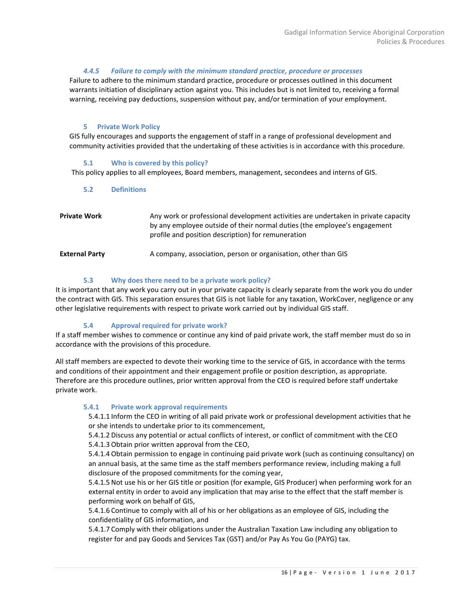# *4.4.5 Failure to comply with the minimum standard practice, procedure or processes*

Failure to adhere to the minimum standard practice, procedure or processes outlined in this document warrants initiation of disciplinary action against you. This includes but is not limited to, receiving a formal warning, receiving pay deductions, suspension without pay, and/or termination of your employment.

# **5 Private Work Policy**

<span id="page-15-0"></span>GIS fully encourages and supports the engagement of staff in a range of professional development and community activities provided that the undertaking of these activities is in accordance with this procedure.

#### **5.1 Who is covered by this policy?**

<span id="page-15-2"></span><span id="page-15-1"></span>This policy applies to all employees, Board members, management, secondees and interns of GIS.

# **5.2 Definitions**

| <b>Private Work</b>   | Any work or professional development activities are undertaken in private capacity<br>by any employee outside of their normal duties (the employee's engagement<br>profile and position description) for remuneration |
|-----------------------|-----------------------------------------------------------------------------------------------------------------------------------------------------------------------------------------------------------------------|
| <b>External Party</b> | A company, association, person or organisation, other than GIS                                                                                                                                                        |

# **5.3 Why does there need to be a private work policy?**

<span id="page-15-3"></span>It is important that any work you carry out in your private capacity is clearly separate from the work you do under the contract with GIS. This separation ensures that GIS is not liable for any taxation, WorkCover, negligence or any other legislative requirements with respect to private work carried out by individual GIS staff.

# **5.4 Approval required for private work?**

<span id="page-15-4"></span>If a staff member wishes to commence or continue any kind of paid private work, the staff member must do so in accordance with the provisions of this procedure.

All staff members are expected to devote their working time to the service of GIS, in accordance with the terms and conditions of their appointment and their engagement profile or position description, as appropriate. Therefore are this procedure outlines, prior written approval from the CEO is required before staff undertake private work.

#### <span id="page-15-5"></span>**5.4.1 Private work approval requirements**

5.4.1.1 Inform the CEO in writing of all paid private work or professional development activities that he or she intends to undertake prior to its commencement,

5.4.1.2 Discuss any potential or actual conflicts of interest, or conflict of commitment with the CEO 5.4.1.3 Obtain prior written approval from the CEO,

5.4.1.4 Obtain permission to engage in continuing paid private work (such as continuing consultancy) on an annual basis, at the same time as the staff members performance review, including making a full disclosure of the proposed commitments for the coming year,

5.4.1.5 Not use his or her GIS title or position (for example, GIS Producer) when performing work for an external entity in order to avoid any implication that may arise to the effect that the staff member is performing work on behalf of GIS,

5.4.1.6 Continue to comply with all of his or her obligations as an employee of GIS, including the confidentiality of GIS information, and

5.4.1.7 Comply with their obligations under the Australian Taxation Law including any obligation to register for and pay Goods and Services Tax (GST) and/or Pay As You Go (PAYG) tax.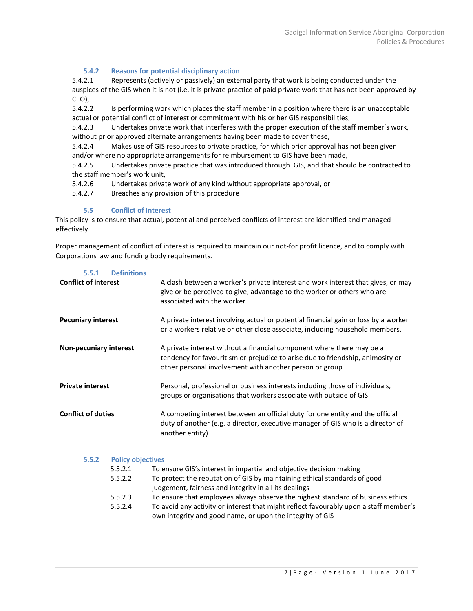# **5.4.2 Reasons for potential disciplinary action**

<span id="page-16-0"></span>5.4.2.1 Represents (actively or passively) an external party that work is being conducted under the auspices of the GIS when it is not (i.e. it is private practice of paid private work that has not been approved by CEO),

5.4.2.2 Is performing work which places the staff member in a position where there is an unacceptable actual or potential conflict of interest or commitment with his or her GIS responsibilities,

5.4.2.3 Undertakes private work that interferes with the proper execution of the staff member's work, without prior approved alternate arrangements having been made to cover these,

5.4.2.4 Makes use of GIS resources to private practice, for which prior approval has not been given and/or where no appropriate arrangements for reimbursement to GIS have been made,

5.4.2.5 Undertakes private practice that was introduced through GIS, and that should be contracted to the staff member's work unit,

5.4.2.6 Undertakes private work of any kind without appropriate approval, or

5.4.2.7 Breaches any provision of this procedure

# **5.5 Conflict of Interest**

<span id="page-16-1"></span>This policy is to ensure that actual, potential and perceived conflicts of interest are identified and managed effectively.

Proper management of conflict of interest is required to maintain our not-for profit licence, and to comply with Corporations law and funding body requirements.

<span id="page-16-2"></span>

| <b>Definitions</b><br>5.5.1       |                                                                                                                                                                                                                    |
|-----------------------------------|--------------------------------------------------------------------------------------------------------------------------------------------------------------------------------------------------------------------|
| <b>Conflict of interest</b>       | A clash between a worker's private interest and work interest that gives, or may<br>give or be perceived to give, advantage to the worker or others who are<br>associated with the worker                          |
| <b>Pecuniary interest</b>         | A private interest involving actual or potential financial gain or loss by a worker<br>or a workers relative or other close associate, including household members.                                                |
| <b>Non-pecuniary interest</b>     | A private interest without a financial component where there may be a<br>tendency for favouritism or prejudice to arise due to friendship, animosity or<br>other personal involvement with another person or group |
| <b>Private interest</b>           | Personal, professional or business interests including those of individuals,<br>groups or organisations that workers associate with outside of GIS                                                                 |
| <b>Conflict of duties</b>         | A competing interest between an official duty for one entity and the official<br>duty of another (e.g. a director, executive manager of GIS who is a director of<br>another entity)                                |
| <b>Policy objectives</b><br>5.5.2 |                                                                                                                                                                                                                    |

<span id="page-16-3"></span>

| <b>POIICY ODJECTIVES</b> |                                                                                       |
|--------------------------|---------------------------------------------------------------------------------------|
| 5.5.2.1                  | To ensure GIS's interest in impartial and objective decision making                   |
| 5.5.2.2                  | To protect the reputation of GIS by maintaining ethical standards of good             |
|                          | judgement, fairness and integrity in all its dealings                                 |
| 5.5.2.3                  | To ensure that employees always observe the highest standard of business ethics       |
| 5.5.2.4                  | To avoid any activity or interest that might reflect favourably upon a staff member's |
|                          | own integrity and good name, or upon the integrity of GIS                             |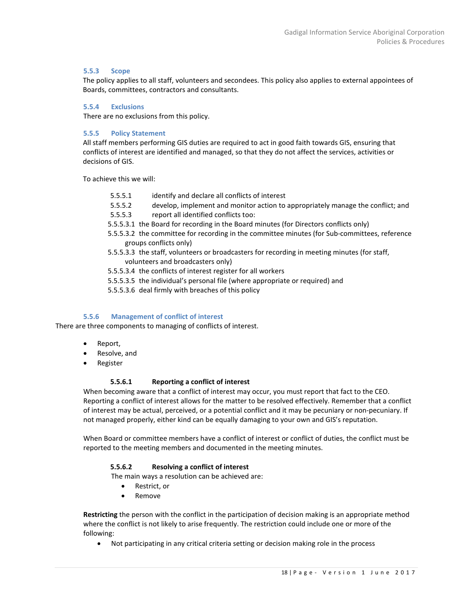#### <span id="page-17-0"></span>**5.5.3 Scope**

The policy applies to all staff, volunteers and secondees. This policy also applies to external appointees of Boards, committees, contractors and consultants.

# <span id="page-17-1"></span>**5.5.4 Exclusions**

There are no exclusions from this policy.

#### <span id="page-17-2"></span>**5.5.5 Policy Statement**

All staff members performing GIS duties are required to act in good faith towards GIS, ensuring that conflicts of interest are identified and managed, so that they do not affect the services, activities or decisions of GIS.

To achieve this we will:

- 5.5.5.1 identify and declare all conflicts of interest
- 5.5.5.2 develop, implement and monitor action to appropriately manage the conflict; and
- 5.5.5.3 report all identified conflicts too:
- 5.5.5.3.1 the Board for recording in the Board minutes (for Directors conflicts only)
- 5.5.5.3.2 the committee for recording in the committee minutes (for Sub-committees, reference groups conflicts only)
- 5.5.5.3.3 the staff, volunteers or broadcasters for recording in meeting minutes (for staff, volunteers and broadcasters only)
- 5.5.5.3.4 the conflicts of interest register for all workers
- 5.5.5.3.5 the individual's personal file (where appropriate or required) and
- 5.5.5.3.6 deal firmly with breaches of this policy

# **5.5.6 Management of conflict of interest**

<span id="page-17-3"></span>There are three components to managing of conflicts of interest.

- Report,
- Resolve, and
- Register

#### **5.5.6.1 Reporting a conflict of interest**

When becoming aware that a conflict of interest may occur, you must report that fact to the CEO. Reporting a conflict of interest allows for the matter to be resolved effectively. Remember that a conflict of interest may be actual, perceived, or a potential conflict and it may be pecuniary or non-pecuniary. If not managed properly, either kind can be equally damaging to your own and GIS's reputation.

When Board or committee members have a conflict of interest or conflict of duties, the conflict must be reported to the meeting members and documented in the meeting minutes.

#### **5.5.6.2 Resolving a conflict of interest**

The main ways a resolution can be achieved are:

- Restrict, or
- Remove

**Restricting** the person with the conflict in the participation of decision making is an appropriate method where the conflict is not likely to arise frequently. The restriction could include one or more of the following:

• Not participating in any critical criteria setting or decision making role in the process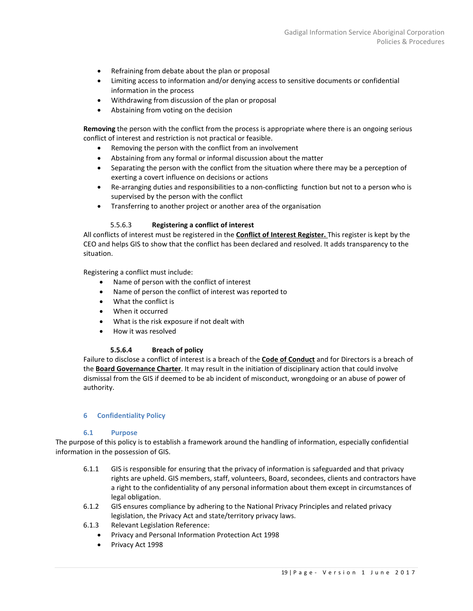- Refraining from debate about the plan or proposal
- Limiting access to information and/or denying access to sensitive documents or confidential information in the process
- Withdrawing from discussion of the plan or proposal
- Abstaining from voting on the decision

**Removing** the person with the conflict from the process is appropriate where there is an ongoing serious conflict of interest and restriction is not practical or feasible.

- Removing the person with the conflict from an involvement
- Abstaining from any formal or informal discussion about the matter
- Separating the person with the conflict from the situation where there may be a perception of exerting a covert influence on decisions or actions
- Re-arranging duties and responsibilities to a non-conflicting function but not to a person who is supervised by the person with the conflict
- Transferring to another project or another area of the organisation

# 5.5.6.3 **Registering a conflict of interest**

All conflicts of interest must be registered in the **Conflict of Interest Register.** This register is kept by the CEO and helps GIS to show that the conflict has been declared and resolved. It adds transparency to the situation.

Registering a conflict must include:

- Name of person with the conflict of interest
- Name of person the conflict of interest was reported to
- What the conflict is
- When it occurred
- What is the risk exposure if not dealt with
- How it was resolved

#### **5.5.6.4 Breach of policy**

Failure to disclose a conflict of interest is a breach of the **Code of Conduct** and for Directors is a breach of the **Board Governance Charter**. It may result in the initiation of disciplinary action that could involve dismissal from the GIS if deemed to be ab incident of misconduct, wrongdoing or an abuse of power of authority.

# <span id="page-18-0"></span>**6 Confidentiality Policy**

#### **6.1 Purpose**

<span id="page-18-1"></span>The purpose of this policy is to establish a framework around the handling of information, especially confidential information in the possession of GIS.

- 6.1.1 GIS is responsible for ensuring that the privacy of information is safeguarded and that privacy rights are upheld. GIS members, staff, volunteers, Board, secondees, clients and contractors have a right to the confidentiality of any personal information about them except in circumstances of legal obligation.
- 6.1.2 GIS ensures compliance by adhering to the National Privacy Principles and related privacy legislation, the Privacy Act and state/territory privacy laws.
- 6.1.3 Relevant Legislation Reference:
	- Privacy and Personal Information Protection Act 1998
	- Privacy Act 1998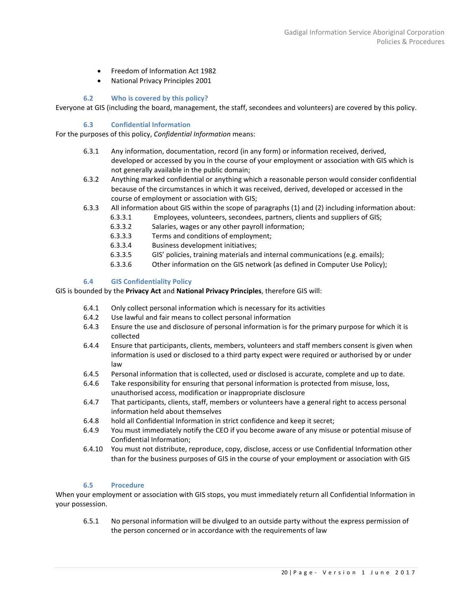- Freedom of Information Act 1982
- National Privacy Principles 2001

# **6.2 Who is covered by this policy?**

<span id="page-19-0"></span>Everyone at GIS (including the board, management, the staff, secondees and volunteers) are covered by this policy.

# **6.3 Confidential Information**

<span id="page-19-1"></span>For the purposes of this policy, *Confidential Information* means:

- 6.3.1 Any information, documentation, record (in any form) or information received, derived, developed or accessed by you in the course of your employment or association with GIS which is not generally available in the public domain;
- 6.3.2 Anything marked confidential or anything which a reasonable person would consider confidential because of the circumstances in which it was received, derived, developed or accessed in the course of employment or association with GIS;
- 6.3.3 All information about GIS within the scope of paragraphs (1) and (2) including information about:
	- 6.3.3.1 Employees, volunteers, secondees, partners, clients and suppliers of GIS;
	- 6.3.3.2 Salaries, wages or any other payroll information;
	- 6.3.3.3 Terms and conditions of employment;
	- 6.3.3.4 Business development initiatives;
	- 6.3.3.5 GIS' policies, training materials and internal communications (e.g. emails);
	- 6.3.3.6 Other information on the GIS network (as defined in Computer Use Policy);

# **6.4 GIS Confidentiality Policy**

<span id="page-19-2"></span>GIS is bounded by the **Privacy Act** and **National Privacy Principles**, therefore GIS will:

- 6.4.1 Only collect personal information which is necessary for its activities
- 6.4.2 Use lawful and fair means to collect personal information
- 6.4.3 Ensure the use and disclosure of personal information is for the primary purpose for which it is collected
- 6.4.4 Ensure that participants, clients, members, volunteers and staff members consent is given when information is used or disclosed to a third party expect were required or authorised by or under law
- 6.4.5 Personal information that is collected, used or disclosed is accurate, complete and up to date.
- 6.4.6 Take responsibility for ensuring that personal information is protected from misuse, loss, unauthorised access, modification or inappropriate disclosure
- 6.4.7 That participants, clients, staff, members or volunteers have a general right to access personal information held about themselves
- 6.4.8 hold all Confidential Information in strict confidence and keep it secret;
- 6.4.9 You must immediately notify the CEO if you become aware of any misuse or potential misuse of Confidential Information;
- 6.4.10 You must not distribute, reproduce, copy, disclose, access or use Confidential Information other than for the business purposes of GIS in the course of your employment or association with GIS

# **6.5 Procedure**

<span id="page-19-3"></span>When your employment or association with GIS stops, you must immediately return all Confidential Information in your possession.

6.5.1 No personal information will be divulged to an outside party without the express permission of the person concerned or in accordance with the requirements of law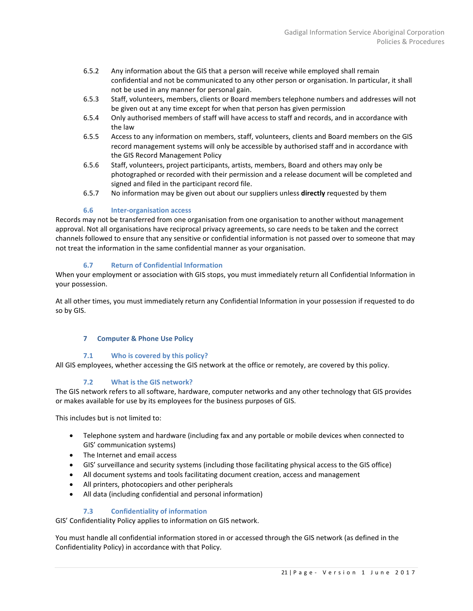- 6.5.2 Any information about the GIS that a person will receive while employed shall remain confidential and not be communicated to any other person or organisation. In particular, it shall not be used in any manner for personal gain.
- 6.5.3 Staff, volunteers, members, clients or Board members telephone numbers and addresses will not be given out at any time except for when that person has given permission
- 6.5.4 Only authorised members of staff will have access to staff and records, and in accordance with the law
- 6.5.5 Access to any information on members, staff, volunteers, clients and Board members on the GIS record management systems will only be accessible by authorised staff and in accordance with the GIS Record Management Policy
- 6.5.6 Staff, volunteers, project participants, artists, members, Board and others may only be photographed or recorded with their permission and a release document will be completed and signed and filed in the participant record file.
- 6.5.7 No information may be given out about our suppliers unless **directly** requested by them

# **6.6 Inter-organisation access**

<span id="page-20-0"></span>Records may not be transferred from one organisation from one organisation to another without management approval. Not all organisations have reciprocal privacy agreements, so care needs to be taken and the correct channels followed to ensure that any sensitive or confidential information is not passed over to someone that may not treat the information in the same confidential manner as your organisation.

# **6.7 Return of Confidential Information**

<span id="page-20-1"></span>When your employment or association with GIS stops, you must immediately return all Confidential Information in your possession.

<span id="page-20-2"></span>At all other times, you must immediately return any Confidential Information in your possession if requested to do so by GIS.

# **7 Computer & Phone Use Policy**

# **7.1 Who is covered by this policy?**

<span id="page-20-3"></span>All GIS employees, whether accessing the GIS network at the office or remotely, are covered by this policy.

# **7.2 What is the GIS network?**

<span id="page-20-4"></span>The GIS network refers to all software, hardware, computer networks and any other technology that GIS provides or makes available for use by its employees for the business purposes of GIS.

This includes but is not limited to:

- Telephone system and hardware (including fax and any portable or mobile devices when connected to GIS' communication systems)
- The Internet and email access
- GIS' surveillance and security systems (including those facilitating physical access to the GIS office)
- All document systems and tools facilitating document creation, access and management
- All printers, photocopiers and other peripherals
- All data (including confidential and personal information)

# **7.3 Confidentiality of information**

<span id="page-20-5"></span>GIS' Confidentiality Policy applies to information on GIS network.

You must handle all confidential information stored in or accessed through the GIS network (as defined in the Confidentiality Policy) in accordance with that Policy.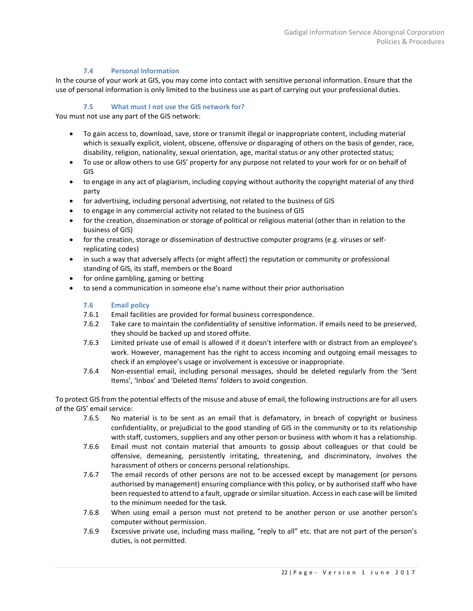# **7.4 Personal Information**

<span id="page-21-0"></span>In the course of your work at GIS, you may come into contact with sensitive personal information. Ensure that the use of personal information is only limited to the business use as part of carrying out your professional duties.

# **7.5 What must I not use the GIS network for?**

<span id="page-21-1"></span>You must not use any part of the GIS network:

- To gain access to, download, save, store or transmit illegal or inappropriate content, including material which is sexually explicit, violent, obscene, offensive or disparaging of others on the basis of gender, race, disability, religion, nationality, sexual orientation, age, marital status or any other protected status;
- To use or allow others to use GIS' property for any purpose not related to your work for or on behalf of GIS
- to engage in any act of plagiarism, including copying without authority the copyright material of any third party
- for advertising, including personal advertising, not related to the business of GIS
- to engage in any commercial activity not related to the business of GIS
- for the creation, dissemination or storage of political or religious material (other than in relation to the business of GIS)
- for the creation, storage or dissemination of destructive computer programs (e.g. viruses or selfreplicating codes)
- in such a way that adversely affects (or might affect) the reputation or community or professional standing of GIS, its staff, members or the Board
- for online gambling, gaming or betting
- <span id="page-21-2"></span>to send a communication in someone else's name without their prior authorisation

# **7.6 Email policy**

- 7.6.1 Email facilities are provided for formal business correspondence.
- 7.6.2 Take care to maintain the confidentiality of sensitive information. If emails need to be preserved, they should be backed up and stored offsite.
- 7.6.3 Limited private use of email is allowed if it doesn't interfere with or distract from an employee's work. However, management has the right to access incoming and outgoing email messages to check if an employee's usage or involvement is excessive or inappropriate.
- 7.6.4 Non-essential email, including personal messages, should be deleted regularly from the 'Sent Items', 'Inbox' and 'Deleted Items' folders to avoid congestion.

To protect GIS from the potential effects of the misuse and abuse of email, the following instructions are for all users of the GIS' email service:

- 7.6.5 No material is to be sent as an email that is defamatory, in breach of copyright or business confidentiality, or prejudicial to the good standing of GIS in the community or to its relationship with staff, customers, suppliers and any other person or business with whom it has a relationship.
- 7.6.6 Email must not contain material that amounts to gossip about colleagues or that could be offensive, demeaning, persistently irritating, threatening, and discriminatory, involves the harassment of others or concerns personal relationships.
- 7.6.7 The email records of other persons are not to be accessed except by management (or persons authorised by management) ensuring compliance with this policy, or by authorised staff who have been requested to attend to a fault, upgrade or similar situation. Access in each case will be limited to the minimum needed for the task.
- 7.6.8 When using email a person must not pretend to be another person or use another person's computer without permission.
- 7.6.9 Excessive private use, including mass mailing, "reply to all" etc. that are not part of the person's duties, is not permitted.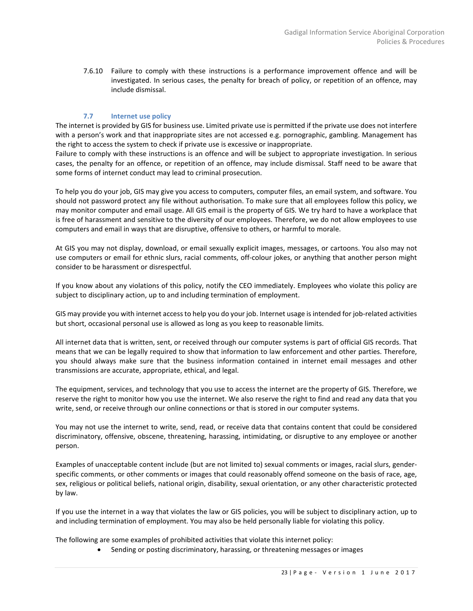7.6.10 Failure to comply with these instructions is a performance improvement offence and will be investigated. In serious cases, the penalty for breach of policy, or repetition of an offence, may include dismissal.

# **7.7 Internet use policy**

<span id="page-22-0"></span>The internet is provided by GIS for business use. Limited private use is permitted if the private use does not interfere with a person's work and that inappropriate sites are not accessed e.g. pornographic, gambling. Management has the right to access the system to check if private use is excessive or inappropriate.

Failure to comply with these instructions is an offence and will be subject to appropriate investigation. In serious cases, the penalty for an offence, or repetition of an offence, may include dismissal. Staff need to be aware that some forms of internet conduct may lead to criminal prosecution.

To help you do your job, GIS may give you access to computers, computer files, an email system, and software. You should not password protect any file without authorisation. To make sure that all employees follow this policy, we may monitor computer and email usage. All GIS email is the property of GIS. We try hard to have a workplace that is free of harassment and sensitive to the diversity of our employees. Therefore, we do not allow employees to use computers and email in ways that are disruptive, offensive to others, or harmful to morale.

At GIS you may not display, download, or email sexually explicit images, messages, or cartoons. You also may not use computers or email for ethnic slurs, racial comments, off-colour jokes, or anything that another person might consider to be harassment or disrespectful.

If you know about any violations of this policy, notify the CEO immediately. Employees who violate this policy are subject to disciplinary action, up to and including termination of employment.

GIS may provide you with internet access to help you do your job. Internet usage is intended for job-related activities but short, occasional personal use is allowed as long as you keep to reasonable limits.

All internet data that is written, sent, or received through our computer systems is part of official GIS records. That means that we can be legally required to show that information to law enforcement and other parties. Therefore, you should always make sure that the business information contained in internet email messages and other transmissions are accurate, appropriate, ethical, and legal.

The equipment, services, and technology that you use to access the internet are the property of GIS. Therefore, we reserve the right to monitor how you use the internet. We also reserve the right to find and read any data that you write, send, or receive through our online connections or that is stored in our computer systems.

You may not use the internet to write, send, read, or receive data that contains content that could be considered discriminatory, offensive, obscene, threatening, harassing, intimidating, or disruptive to any employee or another person.

Examples of unacceptable content include (but are not limited to) sexual comments or images, racial slurs, genderspecific comments, or other comments or images that could reasonably offend someone on the basis of race, age, sex, religious or political beliefs, national origin, disability, sexual orientation, or any other characteristic protected by law.

If you use the internet in a way that violates the law or GIS policies, you will be subject to disciplinary action, up to and including termination of employment. You may also be held personally liable for violating this policy.

The following are some examples of prohibited activities that violate this internet policy:

• Sending or posting discriminatory, harassing, or threatening messages or images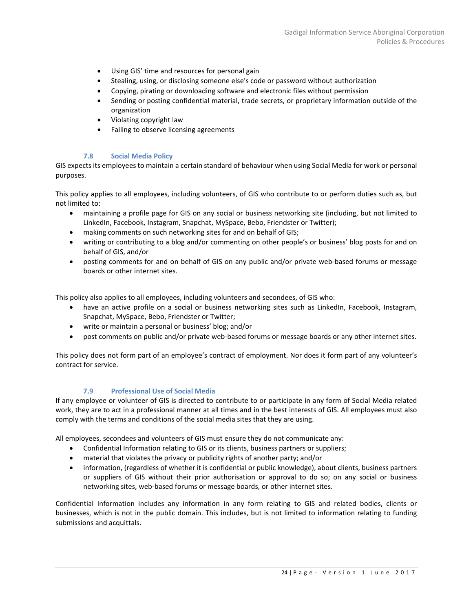- Using GIS' time and resources for personal gain
- Stealing, using, or disclosing someone else's code or password without authorization
- Copying, pirating or downloading software and electronic files without permission
- Sending or posting confidential material, trade secrets, or proprietary information outside of the organization
- Violating copyright law
- Failing to observe licensing agreements

#### **7.8 Social Media Policy**

<span id="page-23-0"></span>GIS expects its employees to maintain a certain standard of behaviour when using Social Media for work or personal purposes.

This policy applies to all employees, including volunteers, of GIS who contribute to or perform duties such as, but not limited to:

- maintaining a profile page for GIS on any social or business networking site (including, but not limited to LinkedIn, Facebook, Instagram, Snapchat, MySpace, Bebo, Friendster or Twitter);
- making comments on such networking sites for and on behalf of GIS;
- writing or contributing to a blog and/or commenting on other people's or business' blog posts for and on behalf of GIS, and/or
- posting comments for and on behalf of GIS on any public and/or private web-based forums or message boards or other internet sites.

This policy also applies to all employees, including volunteers and secondees, of GIS who:

- have an active profile on a social or business networking sites such as LinkedIn, Facebook, Instagram, Snapchat, MySpace, Bebo, Friendster or Twitter;
- write or maintain a personal or business' blog; and/or
- post comments on public and/or private web-based forums or message boards or any other internet sites.

This policy does not form part of an employee's contract of employment. Nor does it form part of any volunteer's contract for service.

# **7.9 Professional Use of Social Media**

<span id="page-23-1"></span>If any employee or volunteer of GIS is directed to contribute to or participate in any form of Social Media related work, they are to act in a professional manner at all times and in the best interests of GIS. All employees must also comply with the terms and conditions of the social media sites that they are using.

All employees, secondees and volunteers of GIS must ensure they do not communicate any:

- Confidential Information relating to GIS or its clients, business partners or suppliers;
- material that violates the privacy or publicity rights of another party; and/or
- information, (regardless of whether it is confidential or public knowledge), about clients, business partners or suppliers of GIS without their prior authorisation or approval to do so; on any social or business networking sites, web-based forums or message boards, or other internet sites.

Confidential Information includes any information in any form relating to GIS and related bodies, clients or businesses, which is not in the public domain. This includes, but is not limited to information relating to funding submissions and acquittals.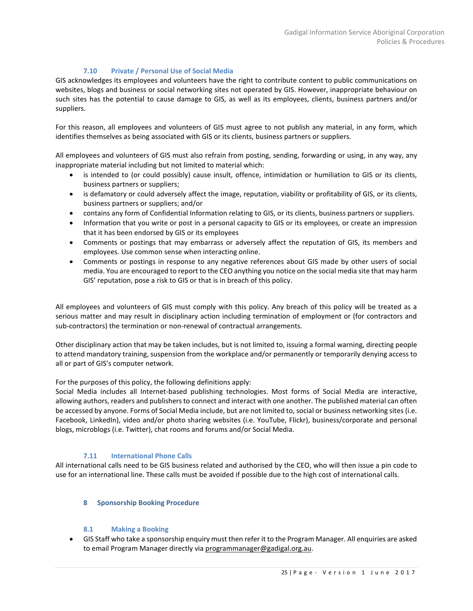# **7.10 Private / Personal Use of Social Media**

<span id="page-24-0"></span>GIS acknowledges its employees and volunteers have the right to contribute content to public communications on websites, blogs and business or social networking sites not operated by GIS. However, inappropriate behaviour on such sites has the potential to cause damage to GIS, as well as its employees, clients, business partners and/or suppliers.

For this reason, all employees and volunteers of GIS must agree to not publish any material, in any form, which identifies themselves as being associated with GIS or its clients, business partners or suppliers.

All employees and volunteers of GIS must also refrain from posting, sending, forwarding or using, in any way, any inappropriate material including but not limited to material which:

- is intended to (or could possibly) cause insult, offence, intimidation or humiliation to GIS or its clients, business partners or suppliers;
- is defamatory or could adversely affect the image, reputation, viability or profitability of GIS, or its clients, business partners or suppliers; and/or
- contains any form of Confidential Information relating to GIS, or its clients, business partners or suppliers.
- Information that you write or post in a personal capacity to GIS or its employees, or create an impression that it has been endorsed by GIS or its employees
- Comments or postings that may embarrass or adversely affect the reputation of GIS, its members and employees. Use common sense when interacting online.
- Comments or postings in response to any negative references about GIS made by other users of social media. You are encouraged to report to the CEO anything you notice on the social media site that may harm GIS' reputation, pose a risk to GIS or that is in breach of this policy.

All employees and volunteers of GIS must comply with this policy. Any breach of this policy will be treated as a serious matter and may result in disciplinary action including termination of employment or (for contractors and sub-contractors) the termination or non-renewal of contractual arrangements.

Other disciplinary action that may be taken includes, but is not limited to, issuing a formal warning, directing people to attend mandatory training, suspension from the workplace and/or permanently or temporarily denying access to all or part of GIS's computer network.

For the purposes of this policy, the following definitions apply:

Social Media includes all Internet-based publishing technologies. Most forms of Social Media are interactive, allowing authors, readers and publishers to connect and interact with one another. The published material can often be accessed by anyone. Forms of Social Media include, but are not limited to, social or business networking sites (i.e. Facebook, LinkedIn), video and/or photo sharing websites (i.e. YouTube, Flickr), business/corporate and personal blogs, microblogs (i.e. Twitter), chat rooms and forums and/or Social Media.

# **7.11 International Phone Calls**

<span id="page-24-2"></span><span id="page-24-1"></span>All international calls need to be GIS business related and authorised by the CEO, who will then issue a pin code to use for an international line. These calls must be avoided if possible due to the high cost of international calls.

# **8 Sponsorship Booking Procedure**

# **8.1 Making a Booking**

<span id="page-24-3"></span>• GIS Staff who take a sponsorship enquiry must then refer it to the Program Manager. All enquiries are asked to email Program Manager directly via [programmanager@gadigal.org.au.](mailto:programmanager@gadigal.org.au)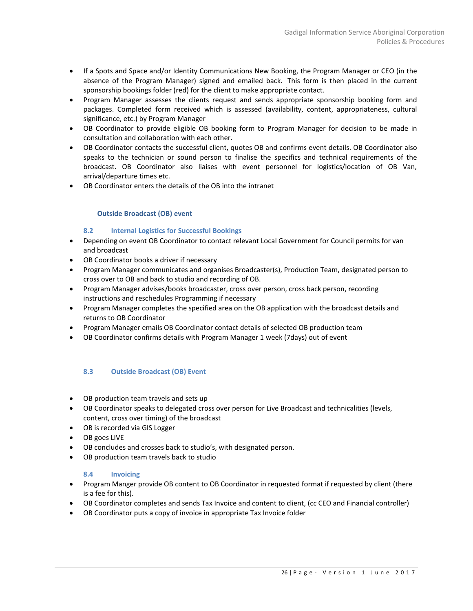- If a Spots and Space and/or Identity Communications New Booking, the Program Manager or CEO (in the absence of the Program Manager) signed and emailed back. This form is then placed in the current sponsorship bookings folder (red) for the client to make appropriate contact.
- Program Manager assesses the clients request and sends appropriate sponsorship booking form and packages. Completed form received which is assessed (availability, content, appropriateness, cultural significance, etc.) by Program Manager
- OB Coordinator to provide eligible OB booking form to Program Manager for decision to be made in consultation and collaboration with each other.
- OB Coordinator contacts the successful client, quotes OB and confirms event details. OB Coordinator also speaks to the technician or sound person to finalise the specifics and technical requirements of the broadcast. OB Coordinator also liaises with event personnel for logistics/location of OB Van, arrival/departure times etc.
- <span id="page-25-0"></span>• OB Coordinator enters the details of the OB into the intranet

# **Outside Broadcast (OB) event**

# **8.2 Internal Logistics for Successful Bookings**

- <span id="page-25-1"></span>• Depending on event OB Coordinator to contact relevant Local Government for Council permits for van and broadcast
- OB Coordinator books a driver if necessary
- Program Manager communicates and organises Broadcaster(s), Production Team, designated person to cross over to OB and back to studio and recording of OB.
- Program Manager advises/books broadcaster, cross over person, cross back person, recording instructions and reschedules Programming if necessary
- Program Manager completes the specified area on the OB application with the broadcast details and returns to OB Coordinator
- Program Manager emails OB Coordinator contact details of selected OB production team
- OB Coordinator confirms details with Program Manager 1 week (7days) out of event

# <span id="page-25-2"></span>**8.3 Outside Broadcast (OB) Event**

- OB production team travels and sets up
- OB Coordinator speaks to delegated cross over person for Live Broadcast and technicalities (levels, content, cross over timing) of the broadcast
- OB is recorded via GIS Logger
- OB goes LIVE
- OB concludes and crosses back to studio's, with designated person.
- OB production team travels back to studio

# **8.4 Invoicing**

- <span id="page-25-3"></span>• Program Manger provide OB content to OB Coordinator in requested format if requested by client (there is a fee for this).
- OB Coordinator completes and sends Tax Invoice and content to client, (cc CEO and Financial controller)
- OB Coordinator puts a copy of invoice in appropriate Tax Invoice folder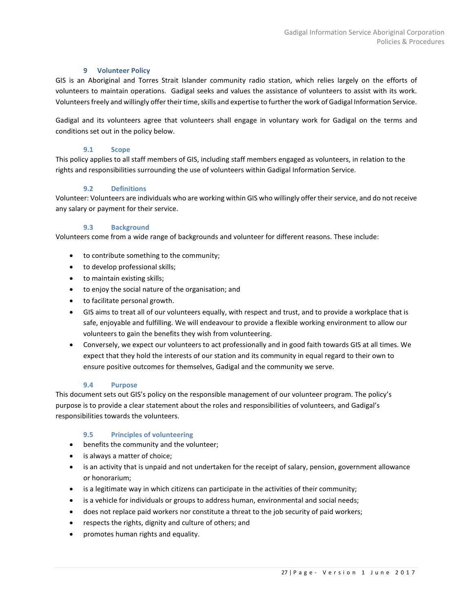# **9 Volunteer Policy**

<span id="page-26-0"></span>GIS is an Aboriginal and Torres Strait Islander community radio station, which relies largely on the efforts of volunteers to maintain operations. Gadigal seeks and values the assistance of volunteers to assist with its work. Volunteers freely and willingly offer their time, skills and expertise to further the work of Gadigal Information Service.

Gadigal and its volunteers agree that volunteers shall engage in voluntary work for Gadigal on the terms and conditions set out in the policy below.

#### **9.1 Scope**

<span id="page-26-1"></span>This policy applies to all staff members of GIS, including staff members engaged as volunteers, in relation to the rights and responsibilities surrounding the use of volunteers within Gadigal Information Service.

# **9.2 Definitions**

<span id="page-26-2"></span>Volunteer: Volunteers are individuals who are working within GIS who willingly offer their service, and do not receive any salary or payment for their service.

# **9.3 Background**

<span id="page-26-3"></span>Volunteers come from a wide range of backgrounds and volunteer for different reasons. These include:

- to contribute something to the community;
- to develop professional skills;
- to maintain existing skills;
- to enjoy the social nature of the organisation; and
- to facilitate personal growth.
- GIS aims to treat all of our volunteers equally, with respect and trust, and to provide a workplace that is safe, enjoyable and fulfilling. We will endeavour to provide a flexible working environment to allow our volunteers to gain the benefits they wish from volunteering.
- Conversely, we expect our volunteers to act professionally and in good faith towards GIS at all times. We expect that they hold the interests of our station and its community in equal regard to their own to ensure positive outcomes for themselves, Gadigal and the community we serve.

#### **9.4 Purpose**

<span id="page-26-4"></span>This document sets out GIS's policy on the responsible management of our volunteer program. The policy's purpose is to provide a clear statement about the roles and responsibilities of volunteers, and Gadigal's responsibilities towards the volunteers.

# **9.5 Principles of volunteering**

- <span id="page-26-5"></span>• benefits the community and the volunteer;
- is always a matter of choice;
- is an activity that is unpaid and not undertaken for the receipt of salary, pension, government allowance or honorarium;
- is a legitimate way in which citizens can participate in the activities of their community;
- is a vehicle for individuals or groups to address human, environmental and social needs;
- does not replace paid workers nor constitute a threat to the job security of paid workers;
- respects the rights, dignity and culture of others; and
- promotes human rights and equality.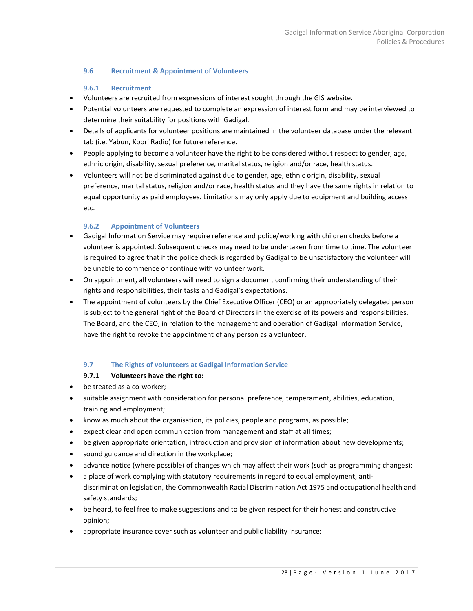# <span id="page-27-0"></span>**9.6 Recruitment & Appointment of Volunteers**

# **9.6.1 Recruitment**

- <span id="page-27-1"></span>• Volunteers are recruited from expressions of interest sought through the GIS website.
- Potential volunteers are requested to complete an expression of interest form and may be interviewed to determine their suitability for positions with Gadigal.
- Details of applicants for volunteer positions are maintained in the volunteer database under the relevant tab (i.e. Yabun, Koori Radio) for future reference.
- People applying to become a volunteer have the right to be considered without respect to gender, age, ethnic origin, disability, sexual preference, marital status, religion and/or race, health status.
- Volunteers will not be discriminated against due to gender, age, ethnic origin, disability, sexual preference, marital status, religion and/or race, health status and they have the same rights in relation to equal opportunity as paid employees. Limitations may only apply due to equipment and building access etc.

# **9.6.2 Appointment of Volunteers**

- <span id="page-27-2"></span>• Gadigal Information Service may require reference and police/working with children checks before a volunteer is appointed. Subsequent checks may need to be undertaken from time to time. The volunteer is required to agree that if the police check is regarded by Gadigal to be unsatisfactory the volunteer will be unable to commence or continue with volunteer work.
- On appointment, all volunteers will need to sign a document confirming their understanding of their rights and responsibilities, their tasks and Gadigal's expectations.
- The appointment of volunteers by the Chief Executive Officer (CEO) or an appropriately delegated person is subject to the general right of the Board of Directors in the exercise of its powers and responsibilities. The Board, and the CEO, in relation to the management and operation of Gadigal Information Service, have the right to revoke the appointment of any person as a volunteer.

# **9.7 The Rights of volunteers at Gadigal Information Service**

# **9.7.1 Volunteers have the right to:**

- <span id="page-27-3"></span>• be treated as a co-worker;
- suitable assignment with consideration for personal preference, temperament, abilities, education, training and employment;
- know as much about the organisation, its policies, people and programs, as possible;
- expect clear and open communication from management and staff at all times;
- be given appropriate orientation, introduction and provision of information about new developments;
- sound guidance and direction in the workplace;
- advance notice (where possible) of changes which may affect their work (such as programming changes);
- a place of work complying with statutory requirements in regard to equal employment, antidiscrimination legislation, the Commonwealth Racial Discrimination Act 1975 and occupational health and safety standards;
- be heard, to feel free to make suggestions and to be given respect for their honest and constructive opinion;
- appropriate insurance cover such as volunteer and public liability insurance;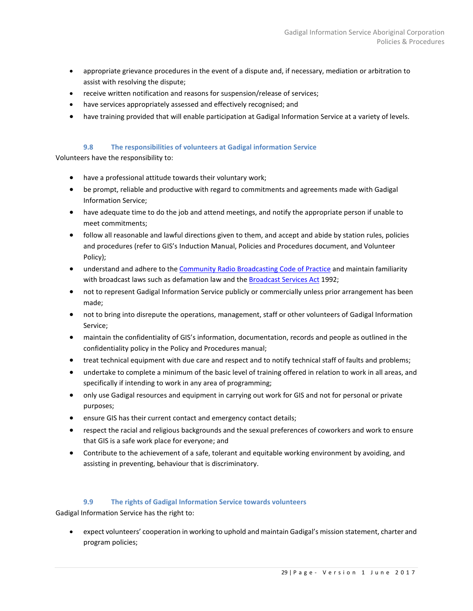- appropriate grievance procedures in the event of a dispute and, if necessary, mediation or arbitration to assist with resolving the dispute;
- receive written notification and reasons for suspension/release of services;
- have services appropriately assessed and effectively recognised; and
- have training provided that will enable participation at Gadigal Information Service at a variety of levels.

# **9.8 The responsibilities of volunteers at Gadigal information Service**

<span id="page-28-0"></span>Volunteers have the responsibility to:

- have a professional attitude towards their voluntary work;
- be prompt, reliable and productive with regard to commitments and agreements made with Gadigal Information Service;
- have adequate time to do the job and attend meetings, and notify the appropriate person if unable to meet commitments;
- follow all reasonable and lawful directions given to them, and accept and abide by station rules, policies and procedures (refer to GIS's Induction Manual, Policies and Procedures document, and Volunteer Policy);
- understand and adhere to th[e Community Radio Broadcasting Code of Practice](http://www.acma.gov.au/webwr/_assets/main/lib410018/community_radio_broadcasting-code_of_practice_2008.pdf) and maintain familiarity with broadcast laws such as defamation law and the **Broadcast Services Act** 1992;
- not to represent Gadigal Information Service publicly or commercially unless prior arrangement has been made;
- not to bring into disrepute the operations, management, staff or other volunteers of Gadigal Information Service;
- maintain the confidentiality of GIS's information, documentation, records and people as outlined in the confidentiality policy in the Policy and Procedures manual;
- treat technical equipment with due care and respect and to notify technical staff of faults and problems;
- undertake to complete a minimum of the basic level of training offered in relation to work in all areas, and specifically if intending to work in any area of programming;
- only use Gadigal resources and equipment in carrying out work for GIS and not for personal or private purposes;
- ensure GIS has their current contact and emergency contact details;
- respect the racial and religious backgrounds and the sexual preferences of coworkers and work to ensure that GIS is a safe work place for everyone; and
- Contribute to the achievement of a safe, tolerant and equitable working environment by avoiding, and assisting in preventing, behaviour that is discriminatory.

#### **9.9 The rights of Gadigal Information Service towards volunteers**

<span id="page-28-1"></span>Gadigal Information Service has the right to:

• expect volunteers' cooperation in working to uphold and maintain Gadigal's mission statement, charter and program policies;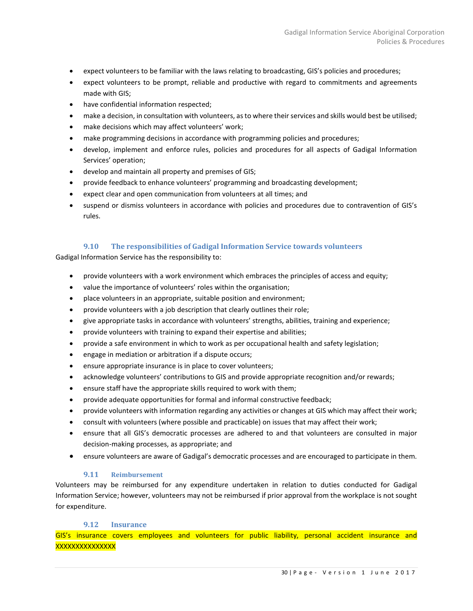- expect volunteers to be familiar with the laws relating to broadcasting, GIS's policies and procedures;
- expect volunteers to be prompt, reliable and productive with regard to commitments and agreements made with GIS;
- have confidential information respected;
- make a decision, in consultation with volunteers, as to where their services and skills would best be utilised;
- make decisions which may affect volunteers' work;
- make programming decisions in accordance with programming policies and procedures;
- develop, implement and enforce rules, policies and procedures for all aspects of Gadigal Information Services' operation;
- develop and maintain all property and premises of GIS;
- provide feedback to enhance volunteers' programming and broadcasting development;
- expect clear and open communication from volunteers at all times; and
- suspend or dismiss volunteers in accordance with policies and procedures due to contravention of GIS's rules.

# **9.10 The responsibilities of Gadigal Information Service towards volunteers**

<span id="page-29-0"></span>Gadigal Information Service has the responsibility to:

- provide volunteers with a work environment which embraces the principles of access and equity;
- value the importance of volunteers' roles within the organisation;
- place volunteers in an appropriate, suitable position and environment;
- provide volunteers with a job description that clearly outlines their role;
- give appropriate tasks in accordance with volunteers' strengths, abilities, training and experience;
- provide volunteers with training to expand their expertise and abilities;
- provide a safe environment in which to work as per occupational health and safety legislation;
- engage in mediation or arbitration if a dispute occurs;
- ensure appropriate insurance is in place to cover volunteers;
- acknowledge volunteers' contributions to GIS and provide appropriate recognition and/or rewards;
- ensure staff have the appropriate skills required to work with them;
- provide adequate opportunities for formal and informal constructive feedback;
- provide volunteers with information regarding any activities or changes at GIS which may affect their work;
- consult with volunteers (where possible and practicable) on issues that may affect their work;
- ensure that all GIS's democratic processes are adhered to and that volunteers are consulted in major decision-making processes, as appropriate; and
- ensure volunteers are aware of Gadigal's democratic processes and are encouraged to participate in them.

# **9.11 Reimbursement**

<span id="page-29-1"></span>Volunteers may be reimbursed for any expenditure undertaken in relation to duties conducted for Gadigal Information Service; however, volunteers may not be reimbursed if prior approval from the workplace is not sought for expenditure.

#### **9.12 Insurance**

<span id="page-29-2"></span>GIS's insurance covers employees and volunteers for public liability, personal accident insurance and **XXXXXXXXXXXXX**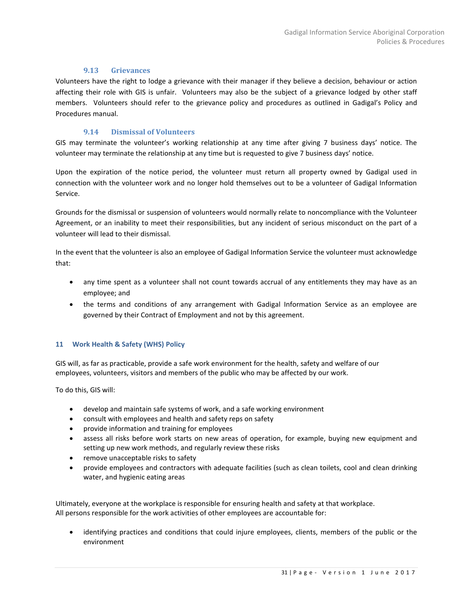# **9.13 Grievances**

<span id="page-30-0"></span>Volunteers have the right to lodge a grievance with their manager if they believe a decision, behaviour or action affecting their role with GIS is unfair. Volunteers may also be the subject of a grievance lodged by other staff members. Volunteers should refer to the grievance policy and procedures as outlined in Gadigal's Policy and Procedures manual.

# **9.14 Dismissal of Volunteers**

<span id="page-30-1"></span>GIS may terminate the volunteer's working relationship at any time after giving 7 business days' notice. The volunteer may terminate the relationship at any time but is requested to give 7 business days' notice.

Upon the expiration of the notice period, the volunteer must return all property owned by Gadigal used in connection with the volunteer work and no longer hold themselves out to be a volunteer of Gadigal Information Service.

Grounds for the dismissal or suspension of volunteers would normally relate to noncompliance with the Volunteer Agreement, or an inability to meet their responsibilities, but any incident of serious misconduct on the part of a volunteer will lead to their dismissal.

In the event that the volunteer is also an employee of Gadigal Information Service the volunteer must acknowledge that:

- any time spent as a volunteer shall not count towards accrual of any entitlements they may have as an employee; and
- the terms and conditions of any arrangement with Gadigal Information Service as an employee are governed by their Contract of Employment and not by this agreement.

# <span id="page-30-2"></span>**11 Work Health & Safety (WHS) Policy**

GIS will, as far as practicable, provide a safe work environment for the health, safety and welfare of our employees, volunteers, visitors and members of the public who may be affected by our work.

To do this, GIS will:

- develop and maintain safe systems of work, and a safe working environment
- consult with employees and health and safety reps on safety
- provide information and training for employees
- assess all risks before work starts on new areas of operation, for example, buying new equipment and setting up new work methods, and regularly review these risks
- remove unacceptable risks to safety
- provide employees and contractors with adequate facilities (such as clean toilets, cool and clean drinking water, and hygienic eating areas

Ultimately, everyone at the workplace is responsible for ensuring health and safety at that workplace. All persons responsible for the work activities of other employees are accountable for:

• identifying practices and conditions that could injure employees, clients, members of the public or the environment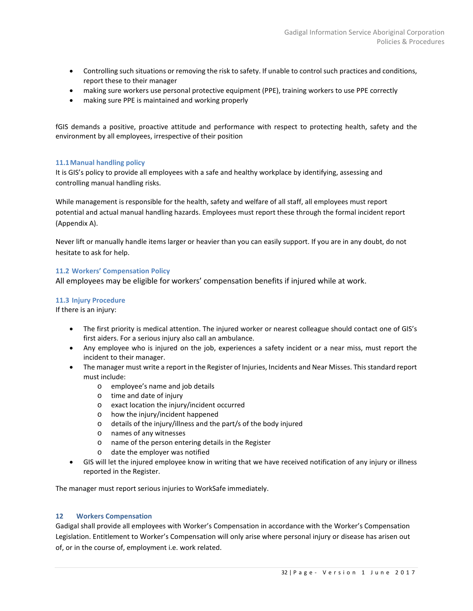- Controlling such situations or removing the risk to safety. If unable to control such practices and conditions, report these to their manager
- making sure workers use personal protective equipment (PPE), training workers to use PPE correctly
- making sure PPE is maintained and working properly

fGIS demands a positive, proactive attitude and performance with respect to protecting health, safety and the environment by all employees, irrespective of their position

# <span id="page-31-0"></span>**11.1Manual handling policy**

It is GIS's policy to provide all employees with a safe and healthy workplace by identifying, assessing and controlling manual handling risks.

While management is responsible for the health, safety and welfare of all staff, all employees must report potential and actual manual handling hazards. Employees must report these through the formal incident report (Appendix A).

Never lift or manually handle items larger or heavier than you can easily support. If you are in any doubt, do not hesitate to ask for help.

# <span id="page-31-1"></span>**11.2 Workers' Compensation Policy**

All employees may be eligible for workers' compensation benefits if injured while at work.

# <span id="page-31-2"></span>**11.3 Injury Procedure**

If there is an injury:

- The first priority is medical attention. The injured worker or nearest colleague should contact one of GIS's first aiders. For a serious injury also call an ambulance.
- Any employee who is injured on the job, experiences a safety incident or a near miss, must report the incident to their manager.
- The manager must write a report in the Register of Injuries, Incidents and Near Misses. This standard report must include:
	- o employee's name and job details
	- o time and date of injury
	- o exact location the injury/incident occurred
	- o how the injury/incident happened
	- o details of the injury/illness and the part/s of the body injured
	- o names of any witnesses
	- o name of the person entering details in the Register
	- o date the employer was notified
- GIS will let the injured employee know in writing that we have received notification of any injury or illness reported in the Register.

The manager must report serious injuries to WorkSafe immediately.

# <span id="page-31-3"></span>**12 Workers Compensation**

Gadigal shall provide all employees with Worker's Compensation in accordance with the Worker's Compensation Legislation. Entitlement to Worker's Compensation will only arise where personal injury or disease has arisen out of, or in the course of, employment i.e. work related.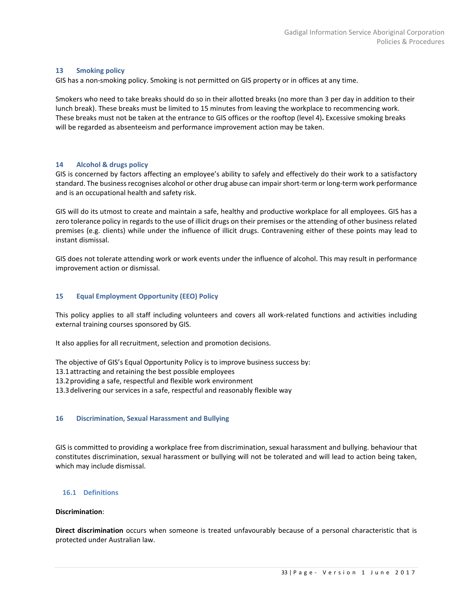#### <span id="page-32-0"></span>**13 Smoking policy**

GIS has a non-smoking policy. Smoking is not permitted on GIS property or in offices at any time.

Smokers who need to take breaks should do so in their allotted breaks (no more than 3 per day in addition to their lunch break). These breaks must be limited to 15 minutes from leaving the workplace to recommencing work. These breaks must not be taken at the entrance to GIS offices or the rooftop (level 4)**.** Excessive smoking breaks will be regarded as absenteeism and performance improvement action may be taken.

#### <span id="page-32-1"></span>**14 Alcohol & drugs policy**

GIS is concerned by factors affecting an employee's ability to safely and effectively do their work to a satisfactory standard. The business recognises alcohol or other drug abuse can impair short-term or long-term work performance and is an occupational health and safety risk.

GIS will do its utmost to create and maintain a safe, healthy and productive workplace for all employees. GIS has a zero tolerance policy in regards to the use of illicit drugs on their premises or the attending of other business related premises (e.g. clients) while under the influence of illicit drugs. Contravening either of these points may lead to instant dismissal.

<span id="page-32-5"></span><span id="page-32-2"></span>GIS does not tolerate attending work or work events under the influence of alcohol. This may result in performance improvement action or dismissal.

#### **15 Equal Employment Opportunity (EEO) Policy**

This policy applies to all staff including volunteers and covers all work-related functions and activities including external training courses sponsored by GIS.

It also applies for all recruitment, selection and promotion decisions.

The objective of GIS's Equal Opportunity Policy is to improve business success by:

13.1attracting and retaining the best possible employees

13.2providing a safe, respectful and flexible work environment

<span id="page-32-3"></span>13.3delivering our services in a safe, respectful and reasonably flexible way

#### **16 Discrimination, Sexual Harassment and Bullying**

GIS is committed to providing a workplace free from discrimination, sexual harassment and bullying. behaviour that constitutes discrimination, sexual harassment or bullying will not be tolerated and will lead to action being taken, which may include dismissal.

#### <span id="page-32-4"></span>**16.1 Definitions**

#### **Discrimination**:

**Direct discrimination** occurs when someone is treated unfavourably because of a personal characteristic that is protected under Australian law.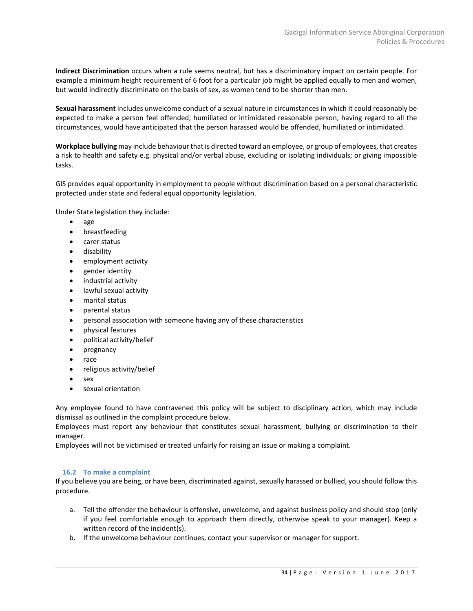**Indirect Discrimination** occurs when a rule seems neutral, but has a discriminatory impact on certain people. For example a minimum height requirement of 6 foot for a particular job might be applied equally to men and women, but would indirectly discriminate on the basis of sex, as women tend to be shorter than men.

**Sexual harassment** includes unwelcome conduct of a sexual nature in circumstances in which it could reasonably be expected to make a person feel offended, humiliated or intimidated reasonable person, having regard to all the circumstances, would have anticipated that the person harassed would be offended, humiliated or intimidated.

**Workplace bullying** may include behaviour that is directed toward an employee, or group of employees, that creates a risk to health and safety e.g. physical and/or verbal abuse, excluding or isolating individuals; or giving impossible tasks.

GIS provides equal opportunity in employment to people without discrimination based on a personal characteristic protected under state and federal equal opportunity legislation.

Under State legislation they include:

- age
- breastfeeding
- carer status
- disability
- employment activity
- gender identity
- industrial activity
- lawful sexual activity
- marital status
- parental status
- personal association with someone having any of these characteristics
- physical features
- political activity/belief
- pregnancy
- race
- religious activity/belief
- sex
- sexual orientation

Any employee found to have contravened this policy will be subject to disciplinary action, which may include dismissal as outlined in the complaint procedure below.

Employees must report any behaviour that constitutes sexual harassment, bullying or discrimination to their manager.

Employees will not be victimised or treated unfairly for raising an issue or making a complaint.

# <span id="page-33-0"></span>**16.2 To make a complaint**

If you believe you are being, or have been, discriminated against, sexually harassed or bullied, you should follow this procedure.

- a. Tell the offender the behaviour is offensive, unwelcome, and against business policy and should stop (only if you feel comfortable enough to approach them directly, otherwise speak to your manager). Keep a written record of the incident(s).
- b. If the unwelcome behaviour continues, contact your supervisor or manager for support.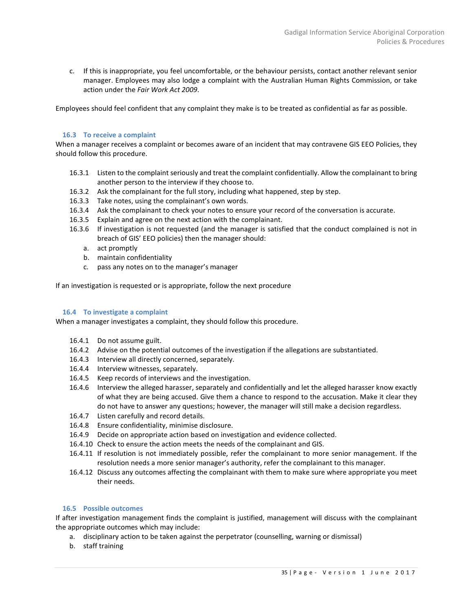c. If this is inappropriate, you feel uncomfortable, or the behaviour persists, contact another relevant senior manager. Employees may also lodge a complaint with the Australian Human Rights Commission, or take action under the *Fair Work Act 2009*.

Employees should feel confident that any complaint they make is to be treated as confidential as far as possible.

#### <span id="page-34-0"></span>**16.3 To receive a complaint**

When a manager receives a complaint or becomes aware of an incident that may contravene GIS EEO Policies, they should follow this procedure.

- 16.3.1 Listen to the complaint seriously and treat the complaint confidentially. Allow the complainant to bring another person to the interview if they choose to.
- 16.3.2 Ask the complainant for the full story, including what happened, step by step.
- 16.3.3 Take notes, using the complainant's own words.
- 16.3.4 Ask the complainant to check your notes to ensure your record of the conversation is accurate.
- 16.3.5 Explain and agree on the next action with the complainant.
- 16.3.6 If investigation is not requested (and the manager is satisfied that the conduct complained is not in breach of GIS' EEO policies) then the manager should:
	- a. act promptly
	- b. maintain confidentiality
	- c. pass any notes on to the manager's manager

If an investigation is requested or is appropriate, follow the next procedure

#### <span id="page-34-1"></span>**16.4 To investigate a complaint**

When a manager investigates a complaint, they should follow this procedure.

- 16.4.1 Do not assume guilt.
- 16.4.2 Advise on the potential outcomes of the investigation if the allegations are substantiated.
- 16.4.3 Interview all directly concerned, separately.
- 16.4.4 Interview witnesses, separately.
- 16.4.5 Keep records of interviews and the investigation.
- 16.4.6 Interview the alleged harasser, separately and confidentially and let the alleged harasser know exactly of what they are being accused. Give them a chance to respond to the accusation. Make it clear they do not have to answer any questions; however, the manager will still make a decision regardless.
- 16.4.7 Listen carefully and record details.
- 16.4.8 Ensure confidentiality, minimise disclosure.
- 16.4.9 Decide on appropriate action based on investigation and evidence collected.
- 16.4.10 Check to ensure the action meets the needs of the complainant and GIS.
- 16.4.11 If resolution is not immediately possible, refer the complainant to more senior management. If the resolution needs a more senior manager's authority, refer the complainant to this manager.
- 16.4.12 Discuss any outcomes affecting the complainant with them to make sure where appropriate you meet their needs.

# <span id="page-34-2"></span>**16.5 Possible outcomes**

If after investigation management finds the complaint is justified, management will discuss with the complainant the appropriate outcomes which may include:

- a. disciplinary action to be taken against the perpetrator (counselling, warning or dismissal)
- b. staff training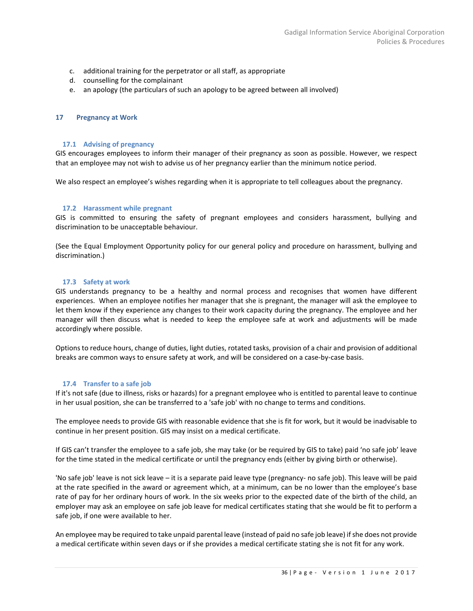- c. additional training for the perpetrator or all staff, as appropriate
- d. counselling for the complainant
- <span id="page-35-0"></span>e. an apology (the particulars of such an apology to be agreed between all involved)

#### **17 Pregnancy at Work**

#### <span id="page-35-1"></span>**17.1 Advising of pregnancy**

GIS encourages employees to inform their manager of their pregnancy as soon as possible. However, we respect that an employee may not wish to advise us of her pregnancy earlier than the minimum notice period.

We also respect an employee's wishes regarding when it is appropriate to tell colleagues about the pregnancy.

#### <span id="page-35-2"></span>**17.2 Harassment while pregnant**

GIS is committed to ensuring the safety of pregnant employees and considers harassment, bullying and discrimination to be unacceptable behaviour.

(See the Equal Employment Opportunity policy for our general policy and procedure on harassment, bullying and discrimination.)

#### <span id="page-35-3"></span>**17.3 Safety at work**

GIS understands pregnancy to be a healthy and normal process and recognises that women have different experiences. When an employee notifies her manager that she is pregnant, the manager will ask the employee to let them know if they experience any changes to their work capacity during the pregnancy. The employee and her manager will then discuss what is needed to keep the employee safe at work and adjustments will be made accordingly where possible.

Options to reduce hours, change of duties, light duties, rotated tasks, provision of a chair and provision of additional breaks are common ways to ensure safety at work, and will be considered on a case-by-case basis.

#### <span id="page-35-4"></span>**17.4 Transfer to a safe job**

If it's not safe (due to illness, risks or hazards) for a pregnant employee who is entitled to parental leave to continue in her usual position, she can be transferred to a 'safe job' with no change to terms and conditions.

The employee needs to provide GIS with reasonable evidence that she is fit for work, but it would be inadvisable to continue in her present position. GIS may insist on a medical certificate.

If GIS can't transfer the employee to a safe job, she may take (or be required by GIS to take) paid 'no safe job' leave for the time stated in the medical certificate or until the pregnancy ends (either by giving birth or otherwise).

'No safe job' leave is not sick leave – it is a separate paid leave type (pregnancy- no safe job). This leave will be paid at the rate specified in the award or agreement which, at a minimum, can be no lower than the employee's base rate of pay for her ordinary hours of work. In the six weeks prior to the expected date of the birth of the child, an employer may ask an employee on safe job leave for medical certificates stating that she would be fit to perform a safe job, if one were available to her.

An employee may be required to take unpaid parental leave (instead of paid no safe job leave) if she does not provide a medical certificate within seven days or if she provides a medical certificate stating she is not fit for any work.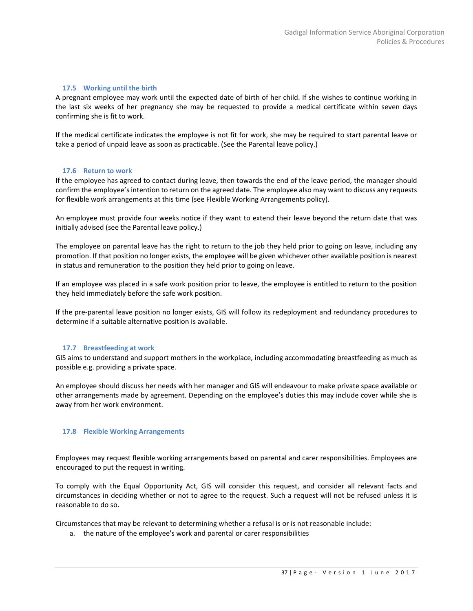#### <span id="page-36-0"></span>**17.5 Working until the birth**

A pregnant employee may work until the expected date of birth of her child. If she wishes to continue working in the last six weeks of her pregnancy she may be requested to provide a medical certificate within seven days confirming she is fit to work.

If the medical certificate indicates the employee is not fit for work, she may be required to start parental leave or take a period of unpaid leave as soon as practicable. (See the Parental leave policy.)

#### <span id="page-36-1"></span>**17.6 Return to work**

If the employee has agreed to contact during leave, then towards the end of the leave period, the manager should confirm the employee's intention to return on the agreed date. The employee also may want to discuss any requests for flexible work arrangements at this time (see Flexible Working Arrangements policy).

An employee must provide four weeks notice if they want to extend their leave beyond the return date that was initially advised (see the Parental leave policy.)

The employee on parental leave has the right to return to the job they held prior to going on leave, including any promotion. If that position no longer exists, the employee will be given whichever other available position is nearest in status and remuneration to the position they held prior to going on leave.

If an employee was placed in a safe work position prior to leave, the employee is entitled to return to the position they held immediately before the safe work position.

If the pre-parental leave position no longer exists, GIS will follow its redeployment and redundancy procedures to determine if a suitable alternative position is available.

#### <span id="page-36-2"></span>**17.7 Breastfeeding at work**

GIS aims to understand and support mothers in the workplace, including accommodating breastfeeding as much as possible e.g. providing a private space.

An employee should discuss her needs with her manager and GIS will endeavour to make private space available or other arrangements made by agreement. Depending on the employee's duties this may include cover while she is away from her work environment.

# <span id="page-36-3"></span>**17.8 Flexible Working Arrangements**

Employees may request flexible working arrangements based on parental and carer responsibilities. Employees are encouraged to put the request in writing.

To comply with the Equal Opportunity Act, GIS will consider this request, and consider all relevant facts and circumstances in deciding whether or not to agree to the request. Such a request will not be refused unless it is reasonable to do so.

Circumstances that may be relevant to determining whether a refusal is or is not reasonable include:

a. the nature of the employee's work and parental or carer responsibilities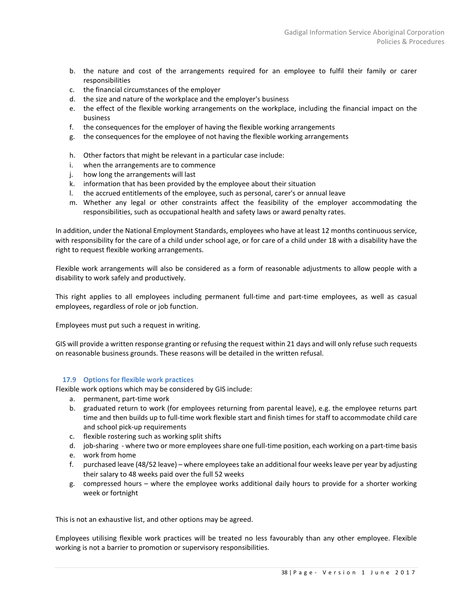- b. the nature and cost of the arrangements required for an employee to fulfil their family or carer responsibilities
- c. the financial circumstances of the employer
- d. the size and nature of the workplace and the employer's business
- e. the effect of the flexible working arrangements on the workplace, including the financial impact on the business
- f. the consequences for the employer of having the flexible working arrangements
- g. the consequences for the employee of not having the flexible working arrangements
- h. Other factors that might be relevant in a particular case include:
- i. when the arrangements are to commence
- j. how long the arrangements will last
- k. information that has been provided by the employee about their situation
- l. the accrued entitlements of the employee, such as personal, carer's or annual leave
- m. Whether any legal or other constraints affect the feasibility of the employer accommodating the responsibilities, such as occupational health and safety laws or award penalty rates.

In addition, under the National Employment Standards, employees who have at least 12 months continuous service, with responsibility for the care of a child under school age, or for care of a child under 18 with a disability have the right to request flexible working arrangements.

Flexible work arrangements will also be considered as a form of reasonable adjustments to allow people with a disability to work safely and productively.

This right applies to all employees including permanent full-time and part-time employees, as well as casual employees, regardless of role or job function.

Employees must put such a request in writing.

GIS will provide a written response granting or refusing the request within 21 days and will only refuse such requests on reasonable business grounds. These reasons will be detailed in the written refusal.

# <span id="page-37-0"></span>**17.9 Options for flexible work practices**

Flexible work options which may be considered by GIS include:

- a. permanent, part-time work
- b. graduated return to work (for employees returning from parental leave), e.g. the employee returns part time and then builds up to full-time work flexible start and finish times for staff to accommodate child care and school pick-up requirements
- c. flexible rostering such as working split shifts
- d. job-sharing where two or more employees share one full-time position, each working on a part-time basis
- e. work from home
- f. purchased leave (48/52 leave) where employees take an additional four weeks leave per year by adjusting their salary to 48 weeks paid over the full 52 weeks
- g. compressed hours where the employee works additional daily hours to provide for a shorter working week or fortnight

This is not an exhaustive list, and other options may be agreed.

Employees utilising flexible work practices will be treated no less favourably than any other employee. Flexible working is not a barrier to promotion or supervisory responsibilities.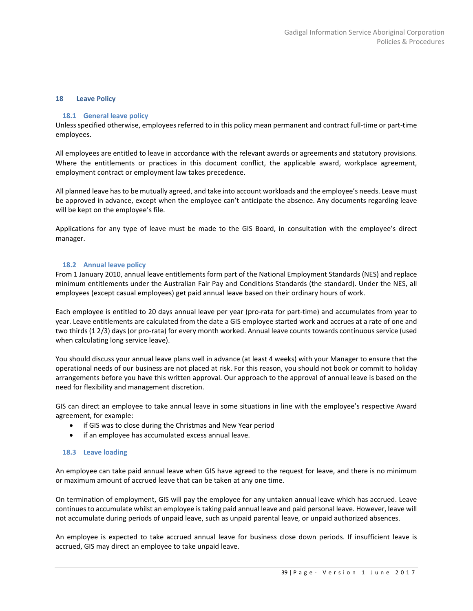#### <span id="page-38-1"></span><span id="page-38-0"></span>**18 Leave Policy**

#### **18.1 General leave policy**

Unless specified otherwise, employees referred to in this policy mean permanent and contract full-time or part-time employees.

All employees are entitled to leave in accordance with the relevant awards or agreements and statutory provisions. Where the entitlements or practices in this document conflict, the applicable award, workplace agreement, employment contract or employment law takes precedence.

All planned leave has to be mutually agreed, and take into account workloads and the employee's needs. Leave must be approved in advance, except when the employee can't anticipate the absence. Any documents regarding leave will be kept on the employee's file.

Applications for any type of leave must be made to the GIS Board, in consultation with the employee's direct manager.

# <span id="page-38-2"></span>**18.2 Annual leave policy**

From 1 January 2010, annual leave entitlements form part of the National Employment Standards (NES) and replace minimum entitlements under the Australian Fair Pay and Conditions Standards (the standard). Under the NES, all employees (except casual employees) get paid annual leave based on their ordinary hours of work.

Each employee is entitled to 20 days annual leave per year (pro-rata for part-time) and accumulates from year to year. Leave entitlements are calculated from the date a GIS employee started work and accrues at a rate of one and two thirds (1 2/3) days (or pro-rata) for every month worked. Annual leave counts towards continuous service (used when calculating long service leave).

You should discuss your annual leave plans well in advance (at least 4 weeks) with your Manager to ensure that the operational needs of our business are not placed at risk. For this reason, you should not book or commit to holiday arrangements before you have this written approval. Our approach to the approval of annual leave is based on the need for flexibility and management discretion.

GIS can direct an employee to take annual leave in some situations in line with the employee's respective Award agreement, for example:

- if GIS was to close during the Christmas and New Year period
- if an employee has accumulated excess annual leave.

#### <span id="page-38-3"></span>**18.3 Leave loading**

An employee can take paid annual leave when GIS have agreed to the request for leave, and there is no minimum or maximum amount of accrued leave that can be taken at any one time.

On termination of employment, GIS will pay the employee for any untaken annual leave which has accrued. Leave continues to accumulate whilst an employee is taking paid annual leave and paid personal leave. However, leave will not accumulate during periods of unpaid leave, such as unpaid parental leave, or unpaid authorized absences.

An employee is expected to take accrued annual leave for business close down periods. If insufficient leave is accrued, GIS may direct an employee to take unpaid leave.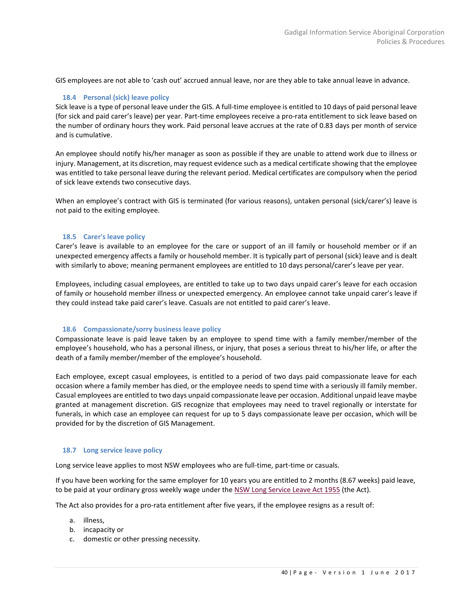<span id="page-39-0"></span>GIS employees are not able to 'cash out' accrued annual leave, nor are they able to take annual leave in advance.

#### **18.4 Personal (sick) leave policy**

Sick leave is a type of personal leave under the GIS. A full-time employee is entitled to 10 days of paid personal leave (for sick and paid carer's leave) per year. Part-time employees receive a pro-rata entitlement to sick leave based on the number of ordinary hours they work. Paid personal leave accrues at the rate of 0.83 days per month of service and is cumulative.

An employee should notify his/her manager as soon as possible if they are unable to attend work due to illness or injury. Management, at its discretion, may request evidence such as a medical certificate showing that the employee was entitled to take personal leave during the relevant period. Medical certificates are compulsory when the period of sick leave extends two consecutive days.

When an employee's contract with GIS is terminated (for various reasons), untaken personal (sick/carer's) leave is not paid to the exiting employee.

#### <span id="page-39-1"></span>**18.5 Carer's leave policy**

Carer's leave is available to an employee for the care or support of an ill family or household member or if an unexpected emergency affects a family or household member. It is typically part of personal (sick) leave and is dealt with similarly to above; meaning permanent employees are entitled to 10 days personal/carer's leave per year.

Employees, including casual employees, are entitled to take up to two days unpaid carer's leave for each occasion of family or household member illness or unexpected emergency. An employee cannot take unpaid carer's leave if they could instead take paid carer's leave. Casuals are not entitled to paid carer's leave.

#### <span id="page-39-2"></span>**18.6 Compassionate/sorry business leave policy**

Compassionate leave is paid leave taken by an employee to spend time with a family member/member of the employee's household, who has a personal illness, or injury, that poses a serious threat to his/her life, or after the death of a family member/member of the employee's household.

Each employee, except casual employees, is entitled to a period of two days paid compassionate leave for each occasion where a family member has died, or the employee needs to spend time with a seriously ill family member. Casual employees are entitled to two days unpaid compassionate leave per occasion. Additional unpaid leave maybe granted at management discretion. GIS recognize that employees may need to travel regionally or interstate for funerals, in which case an employee can request for up to 5 days compassionate leave per occasion, which will be provided for by the discretion of GIS Management.

#### <span id="page-39-3"></span>**18.7 Long service leave policy**

Long service leave applies to most NSW employees who are full-time, part-time or casuals.

If you have been working for the same employer for 10 years you are entitled to 2 months (8.67 weeks) paid leave, to be paid at your ordinary gross weekly wage under the [NSW Long Service Leave Act 1955](http://www.legislation.nsw.gov.au/fullhtml/inforce/act+38+1955+FIRST+0+N/) (the Act).

The Act also provides for a pro-rata entitlement after five years, if the employee resigns as a result of:

- a. illness,
- b. incapacity or
- c. domestic or other pressing necessity.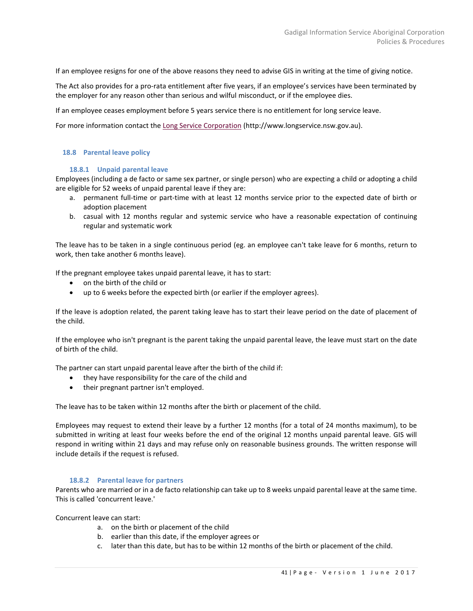If an employee resigns for one of the above reasons they need to advise GIS in writing at the time of giving notice.

The Act also provides for a pro-rata entitlement after five years, if an employee's services have been terminated by the employer for any reason other than serious and wilful misconduct, or if the employee dies.

If an employee ceases employment before 5 years service there is no entitlement for long service leave.

For more information contact the [Long Service](http://www.longservice.nsw.gov.au/) Corporation (http://www.longservice.nsw.gov.au).

#### <span id="page-40-1"></span><span id="page-40-0"></span>**18.8 Parental leave policy**

#### **18.8.1 Unpaid parental leave**

Employees (including a de facto or same sex partner, or single person) who are expecting a child or adopting a child are eligible for 52 weeks of unpaid parental leave if they are:

- a. permanent full-time or part-time with at least 12 months service prior to the expected date of birth or adoption placement
- b. casual with 12 months regular and systemic service who have a reasonable expectation of continuing regular and systematic work

The leave has to be taken in a single continuous period (eg. an employee can't take leave for 6 months, return to work, then take another 6 months leave).

If the pregnant employee takes unpaid parental leave, it has to start:

- on the birth of the child or
- up to 6 weeks before the expected birth (or earlier if the employer agrees).

If the leave is adoption related, the parent taking leave has to start their leave period on the date of placement of the child.

If the employee who isn't pregnant is the parent taking the unpaid parental leave, the leave must start on the date of birth of the child.

The partner can start unpaid parental leave after the birth of the child if:

- they have responsibility for the care of the child and
- their pregnant partner isn't employed.

The leave has to be taken within 12 months after the birth or placement of the child.

Employees may request to extend their leave by a further 12 months (for a total of 24 months maximum), to be submitted in writing at least four weeks before the end of the original 12 months unpaid parental leave. GIS will respond in writing within 21 days and may refuse only on reasonable business grounds. The written response will include details if the request is refused.

#### <span id="page-40-2"></span>**18.8.2 Parental leave for partners**

Parents who are married or in a de facto relationship can take up to 8 weeks unpaid parental leave at the same time. This is called 'concurrent leave.'

Concurrent leave can start:

- a. on the birth or placement of the child
- b. earlier than this date, if the employer agrees or
- c. later than this date, but has to be within 12 months of the birth or placement of the child.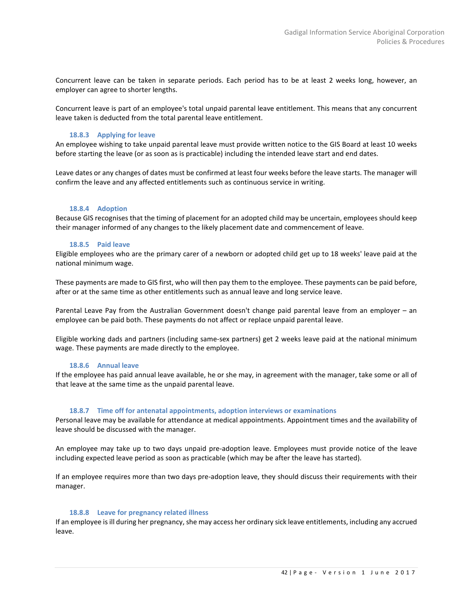Concurrent leave can be taken in separate periods. Each period has to be at least 2 weeks long, however, an employer can agree to shorter lengths.

Concurrent leave is part of an employee's total unpaid parental leave entitlement. This means that any concurrent leave taken is deducted from the total parental leave entitlement.

# <span id="page-41-0"></span>**18.8.3 Applying for leave**

An employee wishing to take unpaid parental leave must provide written notice to the GIS Board at least 10 weeks before starting the leave (or as soon as is practicable) including the intended leave start and end dates.

Leave dates or any changes of dates must be confirmed at least four weeks before the leave starts. The manager will confirm the leave and any affected entitlements such as continuous service in writing.

#### <span id="page-41-1"></span>**18.8.4 Adoption**

<span id="page-41-2"></span>Because GIS recognises that the timing of placement for an adopted child may be uncertain, employees should keep their manager informed of any changes to the likely placement date and commencement of leave.

#### **18.8.5 Paid leave**

Eligible employees who are the primary carer of a newborn or adopted child get up to 18 weeks' leave paid at the national minimum wage.

These payments are made to GIS first, who will then pay them to the employee. These payments can be paid before, after or at the same time as other entitlements such as annual leave and long service leave.

Parental Leave Pay from the Australian Government doesn't change paid parental leave from an employer – an employee can be paid both. These payments do not affect or replace unpaid parental leave.

<span id="page-41-3"></span>Eligible working dads and partners (including same-sex partners) get 2 weeks leave paid at the national minimum wage. These payments are made directly to the employee.

# **18.8.6 Annual leave**

If the employee has paid annual leave available, he or she may, in agreement with the manager, take some or all of that leave at the same time as the unpaid parental leave.

#### <span id="page-41-4"></span>**18.8.7 Time off for antenatal appointments, adoption interviews or examinations**

Personal leave may be available for attendance at medical appointments. Appointment times and the availability of leave should be discussed with the manager.

An employee may take up to two days unpaid pre-adoption leave. Employees must provide notice of the leave including expected leave period as soon as practicable (which may be after the leave has started).

If an employee requires more than two days pre-adoption leave, they should discuss their requirements with their manager.

#### <span id="page-41-5"></span>**18.8.8 Leave for pregnancy related illness**

If an employee is ill during her pregnancy, she may access her ordinary sick leave entitlements, including any accrued leave.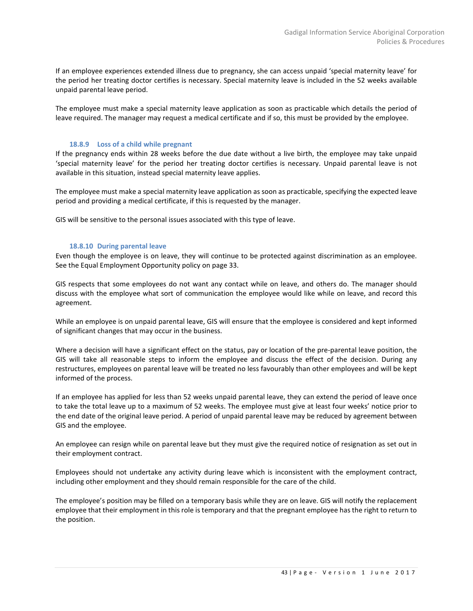If an employee experiences extended illness due to pregnancy, she can access unpaid 'special maternity leave' for the period her treating doctor certifies is necessary. Special maternity leave is included in the 52 weeks available unpaid parental leave period.

The employee must make a special maternity leave application as soon as practicable which details the period of leave required. The manager may request a medical certificate and if so, this must be provided by the employee.

#### <span id="page-42-0"></span>**18.8.9 Loss of a child while pregnant**

If the pregnancy ends within 28 weeks before the due date without a live birth, the employee may take unpaid 'special maternity leave' for the period her treating doctor certifies is necessary. Unpaid parental leave is not available in this situation, instead special maternity leave applies.

The employee must make a special maternity leave application as soon as practicable, specifying the expected leave period and providing a medical certificate, if this is requested by the manager.

<span id="page-42-1"></span>GIS will be sensitive to the personal issues associated with this type of leave.

#### **18.8.10 During parental leave**

Even though the employee is on leave, they will continue to be protected against discrimination as an employee. See the Equal Employment Opportunity policy on pag[e 33.](#page-32-5)

GIS respects that some employees do not want any contact while on leave, and others do. The manager should discuss with the employee what sort of communication the employee would like while on leave, and record this agreement.

While an employee is on unpaid parental leave, GIS will ensure that the employee is considered and kept informed of significant changes that may occur in the business.

Where a decision will have a significant effect on the status, pay or location of the pre-parental leave position, the GIS will take all reasonable steps to inform the employee and discuss the effect of the decision. During any restructures, employees on parental leave will be treated no less favourably than other employees and will be kept informed of the process.

If an employee has applied for less than 52 weeks unpaid parental leave, they can extend the period of leave once to take the total leave up to a maximum of 52 weeks. The employee must give at least four weeks' notice prior to the end date of the original leave period. A period of unpaid parental leave may be reduced by agreement between GIS and the employee.

An employee can resign while on parental leave but they must give the required notice of resignation as set out in their employment contract.

Employees should not undertake any activity during leave which is inconsistent with the employment contract, including other employment and they should remain responsible for the care of the child.

The employee's position may be filled on a temporary basis while they are on leave. GIS will notify the replacement employee that their employment in this role is temporary and that the pregnant employee has the right to return to the position.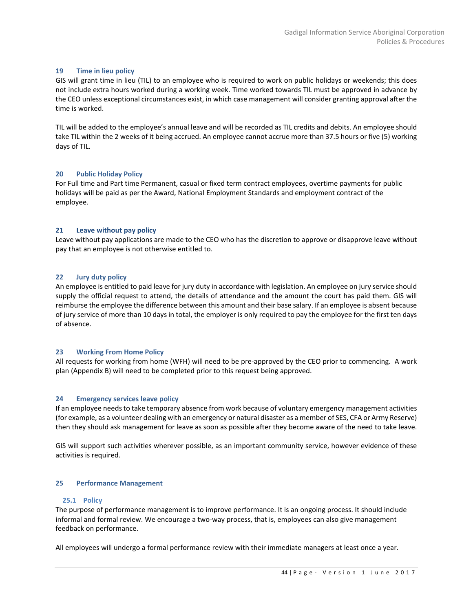#### <span id="page-43-0"></span>**19 Time in lieu policy**

GIS will grant time in lieu (TIL) to an employee who is required to work on public holidays or weekends; this does not include extra hours worked during a working week. Time worked towards TIL must be approved in advance by the CEO unless exceptional circumstances exist, in which case management will consider granting approval after the time is worked.

TIL will be added to the employee's annual leave and will be recorded as TIL credits and debits. An employee should take TIL within the 2 weeks of it being accrued. An employee cannot accrue more than 37.5 hours or five (5) working days of TIL.

# <span id="page-43-1"></span>**20 Public Holiday Policy**

For Full time and Part time Permanent, casual or fixed term contract employees, overtime payments for public holidays will be paid as per the Award, National Employment Standards and employment contract of the employee.

#### <span id="page-43-2"></span>**21 Leave without pay policy**

<span id="page-43-3"></span>Leave without pay applications are made to the CEO who has the discretion to approve or disapprove leave without pay that an employee is not otherwise entitled to.

# **22 Jury duty policy**

An employee is entitled to paid leave for jury duty in accordance with legislation. An employee on jury service should supply the official request to attend, the details of attendance and the amount the court has paid them. GIS will reimburse the employee the difference between this amount and their base salary. If an employee is absent because of jury service of more than 10 days in total, the employer is only required to pay the employee for the first ten days of absence.

#### <span id="page-43-4"></span>**23 Working From Home Policy**

<span id="page-43-5"></span>All requests for working from home (WFH) will need to be pre-approved by the CEO prior to commencing. A work plan (Appendix B) will need to be completed prior to this request being approved.

#### **24 Emergency services leave policy**

If an employee needs to take temporary absence from work because of voluntary emergency management activities (for example, as a volunteer dealing with an emergency or natural disaster as a member of SES, CFA or Army Reserve) then they should ask management for leave as soon as possible after they become aware of the need to take leave.

<span id="page-43-6"></span>GIS will support such activities wherever possible, as an important community service, however evidence of these activities is required.

#### <span id="page-43-7"></span>**25 Performance Management**

#### **25.1 Policy**

The purpose of performance management is to improve performance. It is an ongoing process. It should include informal and formal review. We encourage a two-way process, that is, employees can also give management feedback on performance.

All employees will undergo a formal performance review with their immediate managers at least once a year.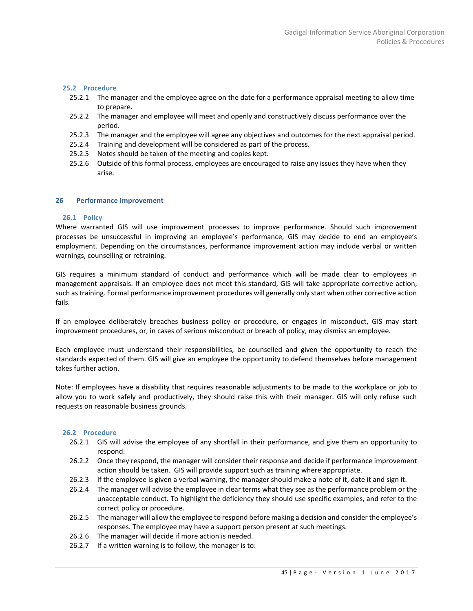#### <span id="page-44-0"></span>**25.2 Procedure**

- 25.2.1 The manager and the employee agree on the date for a performance appraisal meeting to allow time to prepare.
- 25.2.2 The manager and employee will meet and openly and constructively discuss performance over the period.
- 25.2.3 The manager and the employee will agree any objectives and outcomes for the next appraisal period.
- 25.2.4 Training and development will be considered as part of the process.
- 25.2.5 Notes should be taken of the meeting and copies kept.
- 25.2.6 Outside of this formal process, employees are encouraged to raise any issues they have when they arise.

#### <span id="page-44-2"></span><span id="page-44-1"></span>**26 Performance Improvement**

#### **26.1 Policy**

Where warranted GIS will use improvement processes to improve performance. Should such improvement processes be unsuccessful in improving an employee's performance, GIS may decide to end an employee's employment. Depending on the circumstances, performance improvement action may include verbal or written warnings, counselling or retraining.

GIS requires a minimum standard of conduct and performance which will be made clear to employees in management appraisals. If an employee does not meet this standard, GIS will take appropriate corrective action, such as training. Formal performance improvement procedures will generally only start when other corrective action fails.

If an employee deliberately breaches business policy or procedure, or engages in misconduct, GIS may start improvement procedures, or, in cases of serious misconduct or breach of policy, may dismiss an employee.

Each employee must understand their responsibilities, be counselled and given the opportunity to reach the standards expected of them. GIS will give an employee the opportunity to defend themselves before management takes further action.

Note: If employees have a disability that requires reasonable adjustments to be made to the workplace or job to allow you to work safely and productively, they should raise this with their manager. GIS will only refuse such requests on reasonable business grounds.

#### <span id="page-44-3"></span>**26.2 Procedure**

- 26.2.1 GIS will advise the employee of any shortfall in their performance, and give them an opportunity to respond.
- 26.2.2 Once they respond, the manager will consider their response and decide if performance improvement action should be taken. GIS will provide support such as training where appropriate.
- 26.2.3 If the employee is given a verbal warning, the manager should make a note of it, date it and sign it.
- 26.2.4 The manager will advise the employee in clear terms what they see as the performance problem or the unacceptable conduct. To highlight the deficiency they should use specific examples, and refer to the correct policy or procedure.
- 26.2.5 The manager will allow the employee to respond before making a decision and consider the employee's responses. The employee may have a support person present at such meetings.
- 26.2.6 The manager will decide if more action is needed.
- 26.2.7 If a written warning is to follow, the manager is to: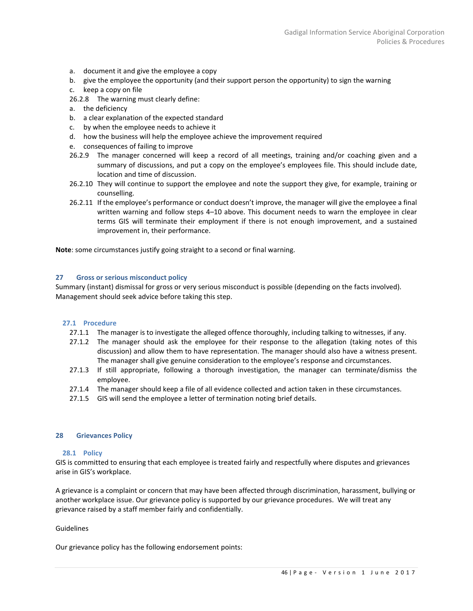- a. document it and give the employee a copy
- b. give the employee the opportunity (and their support person the opportunity) to sign the warning
- c. keep a copy on file
- 26.2.8 The warning must clearly define:
- a. the deficiency
- b. a clear explanation of the expected standard
- c. by when the employee needs to achieve it
- d. how the business will help the employee achieve the improvement required
- e. consequences of failing to improve
- 26.2.9 The manager concerned will keep a record of all meetings, training and/or coaching given and a summary of discussions, and put a copy on the employee's employees file. This should include date, location and time of discussion.
- 26.2.10 They will continue to support the employee and note the support they give, for example, training or counselling.
- 26.2.11 If the employee's performance or conduct doesn't improve, the manager will give the employee a final written warning and follow steps 4–10 above. This document needs to warn the employee in clear terms GIS will terminate their employment if there is not enough improvement, and a sustained improvement in, their performance.

<span id="page-45-0"></span>**Note**: some circumstances justify going straight to a second or final warning.

#### **27 Gross or serious misconduct policy**

Summary (instant) dismissal for gross or very serious misconduct is possible (depending on the facts involved). Management should seek advice before taking this step.

#### <span id="page-45-1"></span>**27.1 Procedure**

- 27.1.1 The manager is to investigate the alleged offence thoroughly, including talking to witnesses, if any.
- 27.1.2 The manager should ask the employee for their response to the allegation (taking notes of this discussion) and allow them to have representation. The manager should also have a witness present. The manager shall give genuine consideration to the employee's response and circumstances.
- 27.1.3 If still appropriate, following a thorough investigation, the manager can terminate/dismiss the employee.
- 27.1.4 The manager should keep a file of all evidence collected and action taken in these circumstances.
- 27.1.5 GIS will send the employee a letter of termination noting brief details.

#### <span id="page-45-3"></span><span id="page-45-2"></span>**28 Grievances Policy**

#### **28.1 Policy**

GIS is committed to ensuring that each employee is treated fairly and respectfully where disputes and grievances arise in GIS's workplace.

A grievance is a complaint or concern that may have been affected through discrimination, harassment, bullying or another workplace issue. Our grievance policy is supported by our grievance procedures. We will treat any grievance raised by a staff member fairly and confidentially.

#### Guidelines

Our grievance policy has the following endorsement points: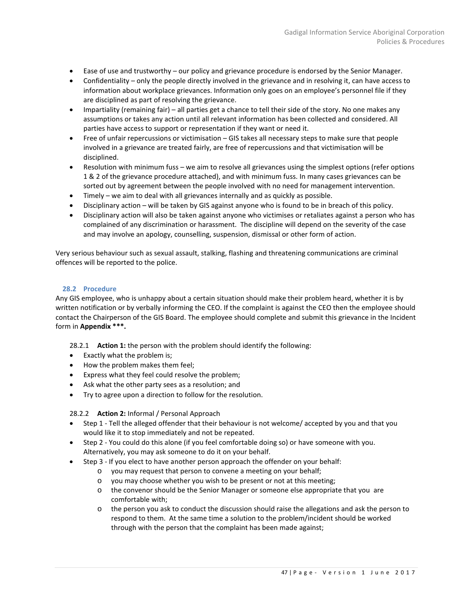- Ease of use and trustworthy our policy and grievance procedure is endorsed by the Senior Manager.
- Confidentiality only the people directly involved in the grievance and in resolving it, can have access to information about workplace grievances. Information only goes on an employee's personnel file if they are disciplined as part of resolving the grievance.
- Impartiality (remaining fair) all parties get a chance to tell their side of the story. No one makes any assumptions or takes any action until all relevant information has been collected and considered. All parties have access to support or representation if they want or need it.
- Free of unfair repercussions or victimisation GIS takes all necessary steps to make sure that people involved in a grievance are treated fairly, are free of repercussions and that victimisation will be disciplined.
- Resolution with minimum fuss we aim to resolve all grievances using the simplest options (refer options 1 & 2 of the grievance procedure attached), and with minimum fuss. In many cases grievances can be sorted out by agreement between the people involved with no need for management intervention.
- Timely we aim to deal with all grievances internally and as quickly as possible.
- Disciplinary action will be taken by GIS against anyone who is found to be in breach of this policy.
- Disciplinary action will also be taken against anyone who victimises or retaliates against a person who has complained of any discrimination or harassment. The discipline will depend on the severity of the case and may involve an apology, counselling, suspension, dismissal or other form of action.

Very serious behaviour such as sexual assault, stalking, flashing and threatening communications are criminal offences will be reported to the police.

# <span id="page-46-0"></span>**28.2 Procedure**

Any GIS employee, who is unhappy about a certain situation should make their problem heard, whether it is by written notification or by verbally informing the CEO. If the complaint is against the CEO then the employee should contact the Chairperson of the GIS Board. The employee should complete and submit this grievance in the Incident form in **Appendix \*\*\*.**

28.2.1 **Action 1:** the person with the problem should identify the following:

- Exactly what the problem is;
- How the problem makes them feel;
- Express what they feel could resolve the problem;
- Ask what the other party sees as a resolution; and
- Try to agree upon a direction to follow for the resolution.

#### 28.2.2 **Action 2:** Informal / Personal Approach

- Step 1 Tell the alleged offender that their behaviour is not welcome/ accepted by you and that you would like it to stop immediately and not be repeated.
- Step 2 You could do this alone (if you feel comfortable doing so) or have someone with you. Alternatively, you may ask someone to do it on your behalf.
- Step 3 If you elect to have another person approach the offender on your behalf:
	- o you may request that person to convene a meeting on your behalf;
	- o you may choose whether you wish to be present or not at this meeting;
	- o the convenor should be the Senior Manager or someone else appropriate that you are comfortable with;
	- o the person you ask to conduct the discussion should raise the allegations and ask the person to respond to them. At the same time a solution to the problem/incident should be worked through with the person that the complaint has been made against;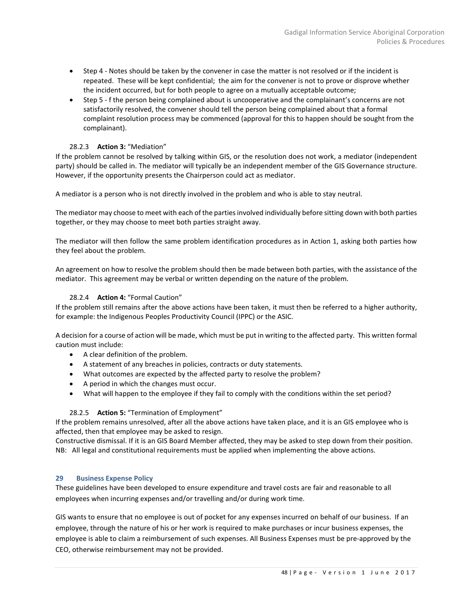- Step 4 Notes should be taken by the convener in case the matter is not resolved or if the incident is repeated. These will be kept confidential; the aim for the convener is not to prove or disprove whether the incident occurred, but for both people to agree on a mutually acceptable outcome;
- Step 5 f the person being complained about is uncooperative and the complainant's concerns are not satisfactorily resolved, the convener should tell the person being complained about that a formal complaint resolution process may be commenced (approval for this to happen should be sought from the complainant).

# 28.2.3 **Action 3:** "Mediation"

If the problem cannot be resolved by talking within GIS, or the resolution does not work, a mediator (independent party) should be called in. The mediator will typically be an independent member of the GIS Governance structure. However, if the opportunity presents the Chairperson could act as mediator.

A mediator is a person who is not directly involved in the problem and who is able to stay neutral.

The mediator may choose to meet with each of the parties involved individually before sitting down with both parties together, or they may choose to meet both parties straight away.

The mediator will then follow the same problem identification procedures as in Action 1, asking both parties how they feel about the problem.

An agreement on how to resolve the problem should then be made between both parties, with the assistance of the mediator. This agreement may be verbal or written depending on the nature of the problem.

# 28.2.4 **Action 4:** "Formal Caution"

If the problem still remains after the above actions have been taken, it must then be referred to a higher authority, for example: the Indigenous Peoples Productivity Council (IPPC) or the ASIC.

A decision for a course of action will be made, which must be put in writing to the affected party. This written formal caution must include:

- A clear definition of the problem.
- A statement of any breaches in policies, contracts or duty statements.
- What outcomes are expected by the affected party to resolve the problem?
- A period in which the changes must occur.
- What will happen to the employee if they fail to comply with the conditions within the set period?

# 28.2.5 **Action 5:** "Termination of Employment"

If the problem remains unresolved, after all the above actions have taken place, and it is an GIS employee who is affected, then that employee may be asked to resign.

<span id="page-47-0"></span>Constructive dismissal. If it is an GIS Board Member affected, they may be asked to step down from their position. NB: All legal and constitutional requirements must be applied when implementing the above actions.

# **29 Business Expense Policy**

These guidelines have been developed to ensure expenditure and travel costs are fair and reasonable to all employees when incurring expenses and/or travelling and/or during work time.

GIS wants to ensure that no employee is out of pocket for any expenses incurred on behalf of our business. If an employee, through the nature of his or her work is required to make purchases or incur business expenses, the employee is able to claim a reimbursement of such expenses. All Business Expenses must be pre-approved by the CEO, otherwise reimbursement may not be provided.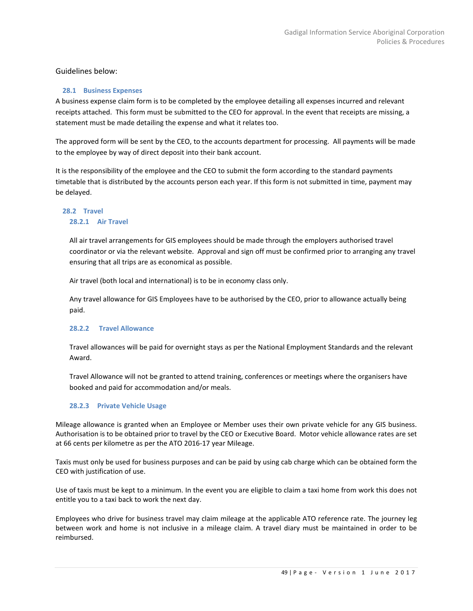# Guidelines below:

# <span id="page-48-0"></span>**28.1 Business Expenses**

A business expense claim form is to be completed by the employee detailing all expenses incurred and relevant receipts attached. This form must be submitted to the CEO for approval. In the event that receipts are missing, a statement must be made detailing the expense and what it relates too.

The approved form will be sent by the CEO, to the accounts department for processing. All payments will be made to the employee by way of direct deposit into their bank account.

It is the responsibility of the employee and the CEO to submit the form according to the standard payments timetable that is distributed by the accounts person each year. If this form is not submitted in time, payment may be delayed.

# **28.2 Travel 28.2.1 Air Travel**

All air travel arrangements for GIS employees should be made through the employers authorised travel coordinator or via the relevant website. Approval and sign off must be confirmed prior to arranging any travel ensuring that all trips are as economical as possible.

Air travel (both local and international) is to be in economy class only.

Any travel allowance for GIS Employees have to be authorised by the CEO, prior to allowance actually being paid.

# **28.2.2 Travel Allowance**

Travel allowances will be paid for overnight stays as per the National Employment Standards and the relevant Award.

Travel Allowance will not be granted to attend training, conferences or meetings where the organisers have booked and paid for accommodation and/or meals.

# **28.2.3 Private Vehicle Usage**

Mileage allowance is granted when an Employee or Member uses their own private vehicle for any GIS business. Authorisation is to be obtained prior to travel by the CEO or Executive Board. Motor vehicle allowance rates are set at 66 cents per kilometre as per the ATO 2016-17 year Mileage.

Taxis must only be used for business purposes and can be paid by using cab charge which can be obtained form the CEO with justification of use.

Use of taxis must be kept to a minimum. In the event you are eligible to claim a taxi home from work this does not entitle you to a taxi back to work the next day.

Employees who drive for business travel may claim mileage at the applicable ATO reference rate. The journey leg between work and home is not inclusive in a mileage claim. A travel diary must be maintained in order to be reimbursed.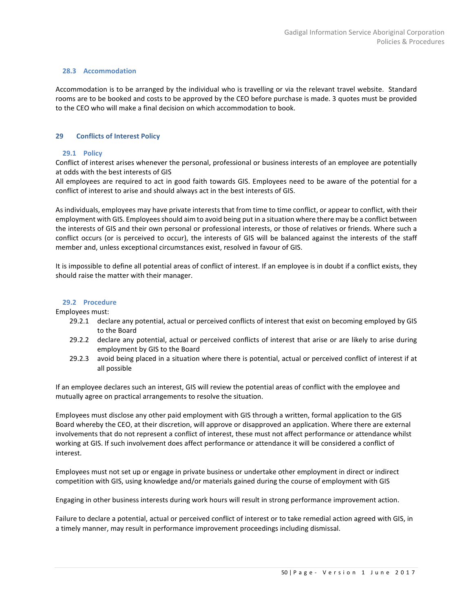#### **28.3 Accommodation**

Accommodation is to be arranged by the individual who is travelling or via the relevant travel website. Standard rooms are to be booked and costs to be approved by the CEO before purchase is made. 3 quotes must be provided to the CEO who will make a final decision on which accommodation to book.

# <span id="page-49-1"></span><span id="page-49-0"></span>**29 Conflicts of Interest Policy**

# **29.1 Policy**

Conflict of interest arises whenever the personal, professional or business interests of an employee are potentially at odds with the best interests of GIS

All employees are required to act in good faith towards GIS. Employees need to be aware of the potential for a conflict of interest to arise and should always act in the best interests of GIS.

As individuals, employees may have private interests that from time to time conflict, or appear to conflict, with their employment with GIS. Employees should aim to avoid being put in a situation where there may be a conflict between the interests of GIS and their own personal or professional interests, or those of relatives or friends. Where such a conflict occurs (or is perceived to occur), the interests of GIS will be balanced against the interests of the staff member and, unless exceptional circumstances exist, resolved in favour of GIS.

It is impossible to define all potential areas of conflict of interest. If an employee is in doubt if a conflict exists, they should raise the matter with their manager.

#### <span id="page-49-2"></span>**29.2 Procedure**

Employees must:

- 29.2.1 declare any potential, actual or perceived conflicts of interest that exist on becoming employed by GIS to the Board
- 29.2.2 declare any potential, actual or perceived conflicts of interest that arise or are likely to arise during employment by GIS to the Board
- 29.2.3 avoid being placed in a situation where there is potential, actual or perceived conflict of interest if at all possible

If an employee declares such an interest, GIS will review the potential areas of conflict with the employee and mutually agree on practical arrangements to resolve the situation.

Employees must disclose any other paid employment with GIS through a written, formal application to the GIS Board whereby the CEO, at their discretion, will approve or disapproved an application. Where there are external involvements that do not represent a conflict of interest, these must not affect performance or attendance whilst working at GIS. If such involvement does affect performance or attendance it will be considered a conflict of interest.

Employees must not set up or engage in private business or undertake other employment in direct or indirect competition with GIS, using knowledge and/or materials gained during the course of employment with GIS

Engaging in other business interests during work hours will result in strong performance improvement action.

Failure to declare a potential, actual or perceived conflict of interest or to take remedial action agreed with GIS, in a timely manner, may result in performance improvement proceedings including dismissal.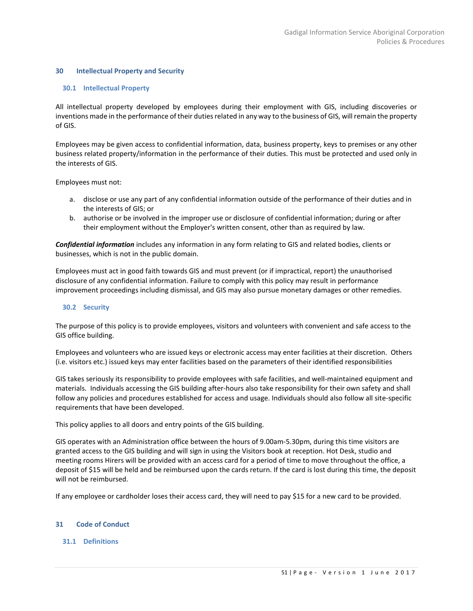#### <span id="page-50-1"></span><span id="page-50-0"></span>**30 Intellectual Property and Security**

#### **30.1 Intellectual Property**

All intellectual property developed by employees during their employment with GIS, including discoveries or inventions made in the performance of their duties related in any way to the business of GIS, will remain the property of GIS.

Employees may be given access to confidential information, data, business property, keys to premises or any other business related property/information in the performance of their duties. This must be protected and used only in the interests of GIS.

Employees must not:

- a. disclose or use any part of any confidential information outside of the performance of their duties and in the interests of GIS; or
- b. authorise or be involved in the improper use or disclosure of confidential information; during or after their employment without the Employer's written consent, other than as required by law.

*Confidential information* includes any information in any form relating to GIS and related bodies, clients or businesses, which is not in the public domain.

Employees must act in good faith towards GIS and must prevent (or if impractical, report) the unauthorised disclosure of any confidential information. Failure to comply with this policy may result in performance improvement proceedings including dismissal, and GIS may also pursue monetary damages or other remedies.

#### <span id="page-50-2"></span>**30.2 Security**

The purpose of this policy is to provide employees, visitors and volunteers with convenient and safe access to the GIS office building.

Employees and volunteers who are issued keys or electronic access may enter facilities at their discretion. Others (i.e. visitors etc.) issued keys may enter facilities based on the parameters of their identified responsibilities

GIS takes seriously its responsibility to provide employees with safe facilities, and well-maintained equipment and materials. Individuals accessing the GIS building after-hours also take responsibility for their own safety and shall follow any policies and procedures established for access and usage. Individuals should also follow all site-specific requirements that have been developed.

This policy applies to all doors and entry points of the GIS building.

GIS operates with an Administration office between the hours of 9.00am-5.30pm, during this time visitors are granted access to the GIS building and will sign in using the Visitors book at reception. Hot Desk, studio and meeting rooms Hirers will be provided with an access card for a period of time to move throughout the office, a deposit of \$15 will be held and be reimbursed upon the cards return. If the card is lost during this time, the deposit will not be reimbursed.

If any employee or cardholder loses their access card, they will need to pay \$15 for a new card to be provided.

#### <span id="page-50-4"></span><span id="page-50-3"></span>**31 Code of Conduct**

#### **31.1 Definitions**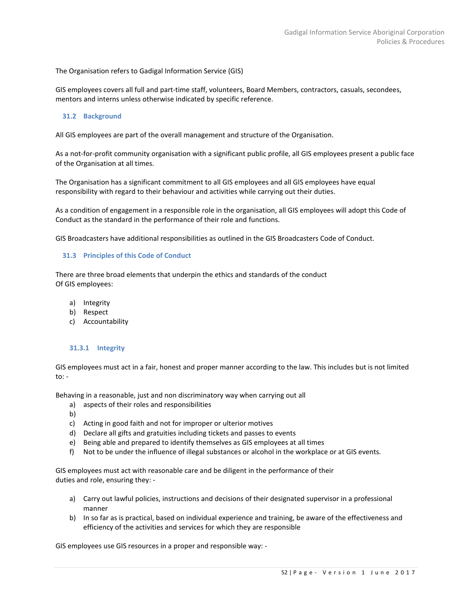The Organisation refers to Gadigal Information Service (GIS)

GIS employees covers all full and part-time staff, volunteers, Board Members, contractors, casuals, secondees, mentors and interns unless otherwise indicated by specific reference.

#### <span id="page-51-0"></span>**31.2 Background**

All GIS employees are part of the overall management and structure of the Organisation.

As a not-for-profit community organisation with a significant public profile, all GIS employees present a public face of the Organisation at all times.

The Organisation has a significant commitment to all GIS employees and all GIS employees have equal responsibility with regard to their behaviour and activities while carrying out their duties.

As a condition of engagement in a responsible role in the organisation, all GIS employees will adopt this Code of Conduct as the standard in the performance of their role and functions.

<span id="page-51-1"></span>GIS Broadcasters have additional responsibilities as outlined in the GIS Broadcasters Code of Conduct.

#### **31.3 Principles of this Code of Conduct**

There are three broad elements that underpin the ethics and standards of the conduct Of GIS employees:

- a) Integrity
- b) Respect
- c) Accountability

#### <span id="page-51-2"></span>**31.3.1 Integrity**

GIS employees must act in a fair, honest and proper manner according to the law. This includes but is not limited to: -

Behaving in a reasonable, just and non discriminatory way when carrying out all

- a) aspects of their roles and responsibilities
- b)
- c) Acting in good faith and not for improper or ulterior motives
- d) Declare all gifts and gratuities including tickets and passes to events
- e) Being able and prepared to identify themselves as GIS employees at all times
- f) Not to be under the influence of illegal substances or alcohol in the workplace or at GIS events.

GIS employees must act with reasonable care and be diligent in the performance of their duties and role, ensuring they: -

- a) Carry out lawful policies, instructions and decisions of their designated supervisor in a professional manner
- b) In so far as is practical, based on individual experience and training, be aware of the effectiveness and efficiency of the activities and services for which they are responsible

GIS employees use GIS resources in a proper and responsible way: -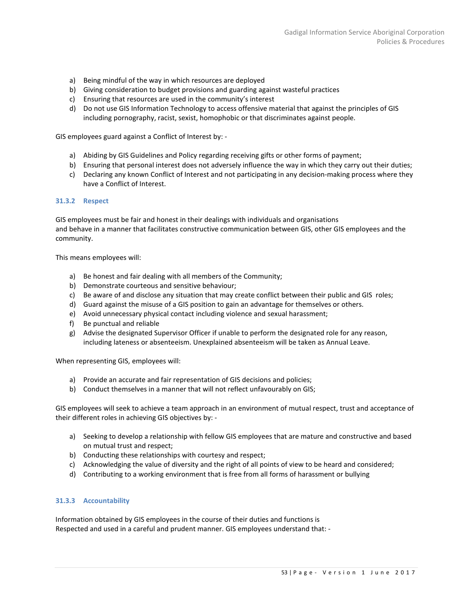- a) Being mindful of the way in which resources are deployed
- b) Giving consideration to budget provisions and guarding against wasteful practices
- c) Ensuring that resources are used in the community's interest
- d) Do not use GIS Information Technology to access offensive material that against the principles of GIS including pornography, racist, sexist, homophobic or that discriminates against people.

GIS employees guard against a Conflict of Interest by: -

- a) Abiding by GIS Guidelines and Policy regarding receiving gifts or other forms of payment;
- b) Ensuring that personal interest does not adversely influence the way in which they carry out their duties;
- c) Declaring any known Conflict of Interest and not participating in any decision-making process where they have a Conflict of Interest.

#### <span id="page-52-0"></span>**31.3.2 Respect**

GIS employees must be fair and honest in their dealings with individuals and organisations and behave in a manner that facilitates constructive communication between GIS, other GIS employees and the community.

This means employees will:

- a) Be honest and fair dealing with all members of the Community;
- b) Demonstrate courteous and sensitive behaviour;
- c) Be aware of and disclose any situation that may create conflict between their public and GIS roles;
- d) Guard against the misuse of a GIS position to gain an advantage for themselves or others.
- e) Avoid unnecessary physical contact including violence and sexual harassment;
- f) Be punctual and reliable
- g) Advise the designated Supervisor Officer if unable to perform the designated role for any reason, including lateness or absenteeism. Unexplained absenteeism will be taken as Annual Leave.

When representing GIS, employees will:

- a) Provide an accurate and fair representation of GIS decisions and policies;
- b) Conduct themselves in a manner that will not reflect unfavourably on GIS;

GIS employees will seek to achieve a team approach in an environment of mutual respect, trust and acceptance of their different roles in achieving GIS objectives by: -

- a) Seeking to develop a relationship with fellow GIS employees that are mature and constructive and based on mutual trust and respect;
- b) Conducting these relationships with courtesy and respect;
- c) Acknowledging the value of diversity and the right of all points of view to be heard and considered;
- d) Contributing to a working environment that is free from all forms of harassment or bullying

#### <span id="page-52-1"></span>**31.3.3 Accountability**

Information obtained by GIS employees in the course of their duties and functions is Respected and used in a careful and prudent manner. GIS employees understand that: -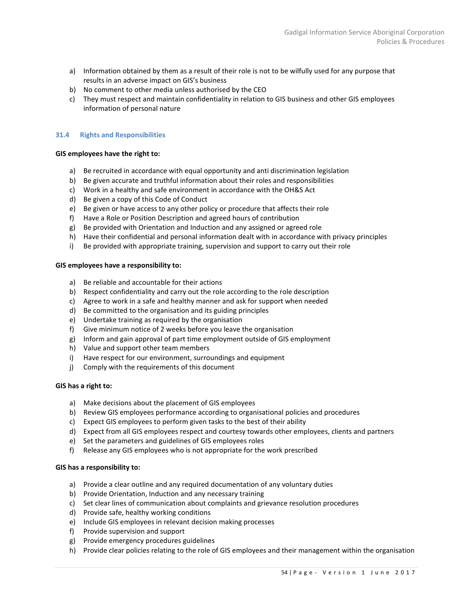- a) Information obtained by them as a result of their role is not to be wilfully used for any purpose that results in an adverse impact on GIS's business
- b) No comment to other media unless authorised by the CEO
- c) They must respect and maintain confidentiality in relation to GIS business and other GIS employees information of personal nature

# <span id="page-53-0"></span>**31.4 Rights and Responsibilities**

# **GIS employees have the right to:**

- a) Be recruited in accordance with equal opportunity and anti discrimination legislation
- b) Be given accurate and truthful information about their roles and responsibilities
- c) Work in a healthy and safe environment in accordance with the OH&S Act
- d) Be given a copy of this Code of Conduct
- e) Be given or have access to any other policy or procedure that affects their role
- f) Have a Role or Position Description and agreed hours of contribution
- g) Be provided with Orientation and Induction and any assigned or agreed role
- h) Have their confidential and personal information dealt with in accordance with privacy principles
- i) Be provided with appropriate training, supervision and support to carry out their role

#### **GIS employees have a responsibility to:**

- a) Be reliable and accountable for their actions
- b) Respect confidentiality and carry out the role according to the role description
- c) Agree to work in a safe and healthy manner and ask for support when needed
- d) Be committed to the organisation and its guiding principles
- e) Undertake training as required by the organisation
- f) Give minimum notice of 2 weeks before you leave the organisation
- g) Inform and gain approval of part time employment outside of GIS employment
- h) Value and support other team members
- i) Have respect for our environment, surroundings and equipment
- j) Comply with the requirements of this document

# **GIS has a right to:**

- a) Make decisions about the placement of GIS employees
- b) Review GIS employees performance according to organisational policies and procedures
- c) Expect GIS employees to perform given tasks to the best of their ability
- d) Expect from all GIS employees respect and courtesy towards other employees, clients and partners
- e) Set the parameters and guidelines of GIS employees roles
- f) Release any GIS employees who is not appropriate for the work prescribed

#### **GIS has a responsibility to:**

- a) Provide a clear outline and any required documentation of any voluntary duties
- b) Provide Orientation, Induction and any necessary training
- c) Set clear lines of communication about complaints and grievance resolution procedures
- d) Provide safe, healthy working conditions
- e) Include GIS employees in relevant decision making processes
- f) Provide supervision and support
- g) Provide emergency procedures guidelines
- h) Provide clear policies relating to the role of GIS employees and their management within the organisation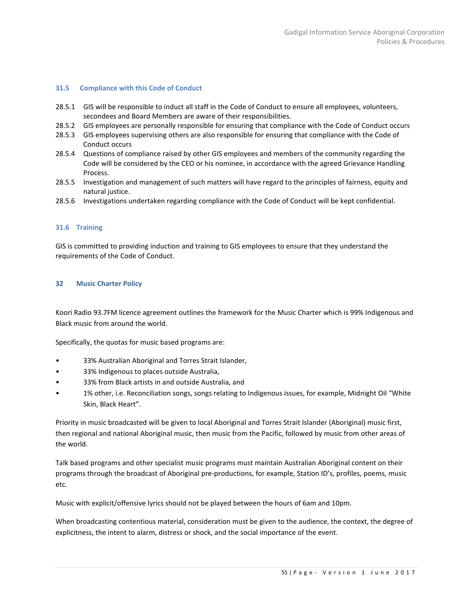#### <span id="page-54-0"></span>**31.5 Compliance with this Code of Conduct**

- 28.5.1 GIS will be responsible to induct all staff in the Code of Conduct to ensure all employees, volunteers, secondees and Board Members are aware of their responsibilities.
- 28.5.2 GIS employees are personally responsible for ensuring that compliance with the Code of Conduct occurs
- 28.5.3 GIS employees supervising others are also responsible for ensuring that compliance with the Code of Conduct occurs
- 28.5.4 Questions of compliance raised by other GIS employees and members of the community regarding the Code will be considered by the CEO or his nominee, in accordance with the agreed Grievance Handling Process.
- 28.5.5 Investigation and management of such matters will have regard to the principles of fairness, equity and natural justice.
- 28.5.6 Investigations undertaken regarding compliance with the Code of Conduct will be kept confidential.

# <span id="page-54-1"></span>**31.6 Training**

<span id="page-54-2"></span>GIS is committed to providing induction and training to GIS employees to ensure that they understand the requirements of the Code of Conduct.

# **32 Music Charter Policy**

Koori Radio 93.7FM licence agreement outlines the framework for the Music Charter which is 99% Indigenous and Black music from around the world.

Specifically, the quotas for music based programs are:

- 33% Australian Aboriginal and Torres Strait Islander,
- 33% Indigenous to places outside Australia,
- 33% from Black artists in and outside Australia, and
- 1% other, i.e. Reconciliation songs, songs relating to Indigenous issues, for example, Midnight Oil "White Skin, Black Heart".

Priority in music broadcasted will be given to local Aboriginal and Torres Strait Islander (Aboriginal) music first, then regional and national Aboriginal music, then music from the Pacific, followed by music from other areas of the world.

Talk based programs and other specialist music programs must maintain Australian Aboriginal content on their programs through the broadcast of Aboriginal pre-productions, for example, Station ID's, profiles, poems, music etc.

Music with explicit/offensive lyrics should not be played between the hours of 6am and 10pm.

When broadcasting contentious material, consideration must be given to the audience, the context, the degree of explicitness, the intent to alarm, distress or shock, and the social importance of the event.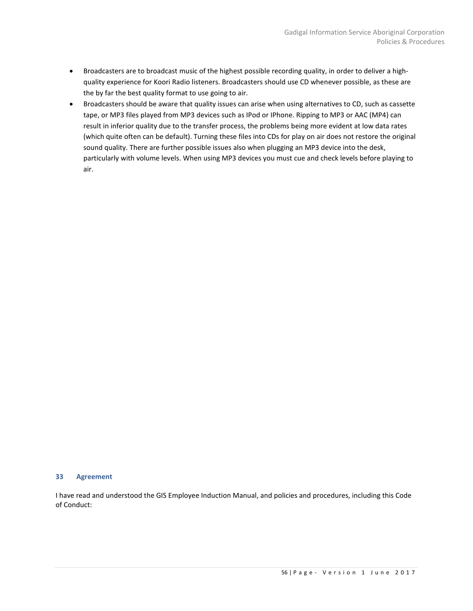- Broadcasters are to broadcast music of the highest possible recording quality, in order to deliver a highquality experience for Koori Radio listeners. Broadcasters should use CD whenever possible, as these are the by far the best quality format to use going to air.
- Broadcasters should be aware that quality issues can arise when using alternatives to CD, such as cassette tape, or MP3 files played from MP3 devices such as IPod or IPhone. Ripping to MP3 or AAC (MP4) can result in inferior quality due to the transfer process, the problems being more evident at low data rates (which quite often can be default). Turning these files into CDs for play on air does not restore the original sound quality. There are further possible issues also when plugging an MP3 device into the desk, particularly with volume levels. When using MP3 devices you must cue and check levels before playing to air.

#### <span id="page-55-0"></span>**33 Agreement**

I have read and understood the GIS Employee Induction Manual, and policies and procedures, including this Code of Conduct: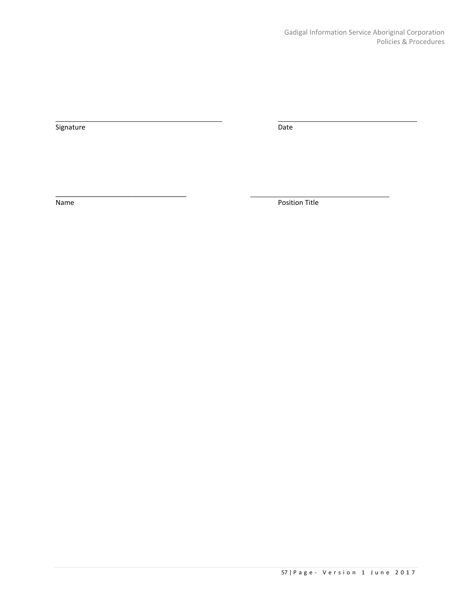Signature Date

\_\_\_\_\_\_\_\_\_\_\_\_\_\_\_\_\_\_\_\_\_\_\_\_\_\_\_\_\_\_\_\_\_\_

Name Position Title